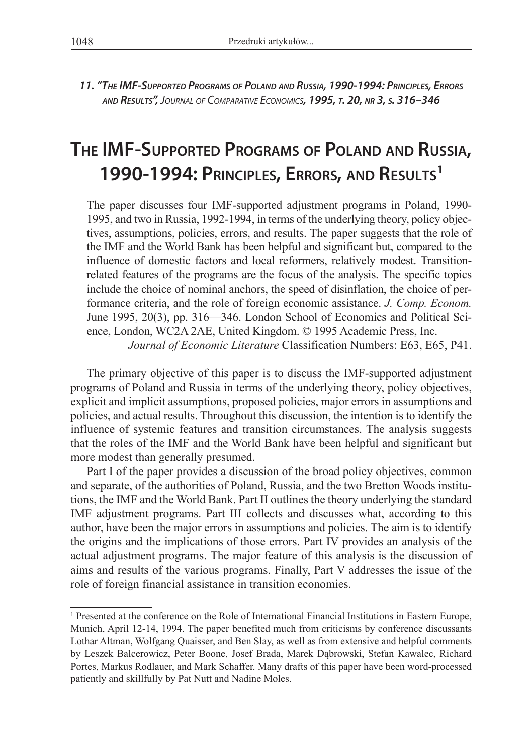*11. "The IMF-Supported Programs of Poland and Russia, 1990-1994: Principles, Errors and Results", Journal of Comparative Economics, 1995, t. 20, nr 3, s. 316–346*

# **The IMF-Supported Programs of Poland and Russia, 1990-1994: Principles, Errors, and Results1**

The paper discusses four IMF-supported adjustment programs in Poland, 1990- 1995, and two in Russia, 1992-1994, in terms of the underlying theory, policy objectives, assumptions, policies, errors, and results. The paper suggests that the role of the IMF and the World Bank has been helpful and significant but, compared to the influence of domestic factors and local reformers, relatively modest. Transitionrelated features of the programs are the focus of the analysis. The specific topics include the choice of nominal anchors, the speed of disinflation, the choice of performance criteria, and the role of foreign economic assistance. *J. Comp. Econom.*  June 1995, 20(3), pp. 316—346. London School of Economics and Political Science, London, WC2A 2AE, United Kingdom. © 1995 Academic Press, Inc.

*Journal of Economic Literature* Classification Numbers: E63, E65, P41.

The primary objective of this paper is to discuss the IMF-supported adjustment programs of Poland and Russia in terms of the underlying theory, policy objectives, explicit and implicit assumptions, proposed policies, major errors in assumptions and policies, and actual results. Throughout this discussion, the intention is to identify the influence of systemic features and transition circumstances. The analysis suggests that the roles of the IMF and the World Bank have been helpful and significant but more modest than generally presumed.

Part I of the paper provides a discussion of the broad policy objectives, common and separate, of the authorities of Poland, Russia, and the two Bretton Woods institutions, the IMF and the World Bank. Part II outlines the theory underlying the standard IMF adjustment programs. Part III collects and discusses what, according to this author, have been the major errors in assumptions and policies. The aim is to identify the origins and the implications of those errors. Part IV provides an analysis of the actual adjustment programs. The major feature of this analysis is the discussion of aims and results of the various programs. Finally, Part V addresses the issue of the role of foreign financial assistance in transition economies.

<sup>&</sup>lt;sup>1</sup> Presented at the conference on the Role of International Financial Institutions in Eastern Europe, Munich, April 12-14, 1994. The paper benefited much from criticisms by conference discussants Lothar Altman, Wolfgang Quaisser, and Ben Slay, as well as from extensive and helpful comments by Leszek Balcerowicz, Peter Boone, Josef Brada, Marek Dąbrowski, Stefan Kawalec, Richard Portes, Markus Rodlauer, and Mark Schaffer. Many drafts of this paper have been word-processed patiently and skillfully by Pat Nutt and Nadine Moles.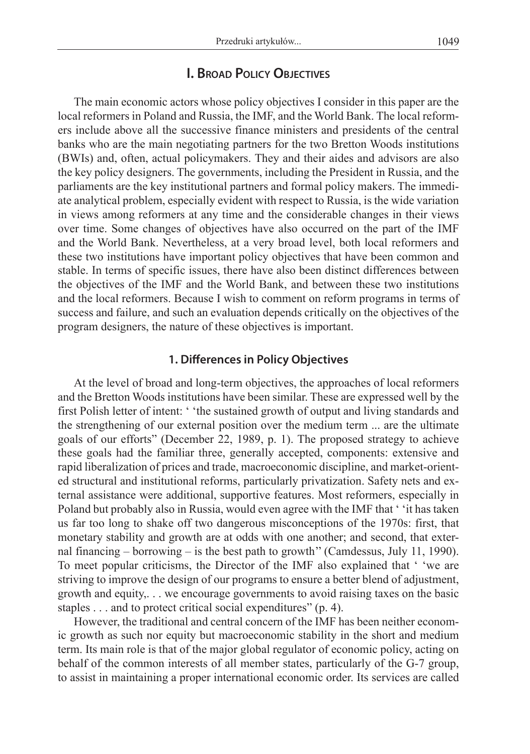## **I. Broad Policy Objectives**

The main economic actors whose policy objectives I consider in this paper are the local reformers in Poland and Russia, the IMF, and the World Bank. The local reformers include above all the successive finance ministers and presidents of the central banks who are the main negotiating partners for the two Bretton Woods institutions (BWIs) and, often, actual policymakers. They and their aides and advisors are also the key policy designers. The governments, including the President in Russia, and the parliaments are the key institutional partners and formal policy makers. The immediate analytical problem, especially evident with respect to Russia, is the wide variation in views among reformers at any time and the considerable changes in their views over time. Some changes of objectives have also occurred on the part of the IMF and the World Bank. Nevertheless, at a very broad level, both local reformers and these two institutions have important policy objectives that have been common and stable. In terms of specific issues, there have also been distinct differences between the objectives of the IMF and the World Bank, and between these two institutions and the local reformers. Because I wish to comment on reform programs in terms of success and failure, and such an evaluation depends critically on the objectives of the program designers, the nature of these objectives is important.

#### **1. Differences in Policy Objectives**

At the level of broad and long-term objectives, the approaches of local reformers and the Bretton Woods institutions have been similar. These are expressed well by the first Polish letter of intent: ' 'the sustained growth of output and living standards and the strengthening of our external position over the medium term ... are the ultimate goals of our efforts" (December 22, 1989, p. 1). The proposed strategy to achieve these goals had the familiar three, generally accepted, components: extensive and rapid liberalization of prices and trade, macroeconomic discipline, and market-oriented structural and institutional reforms, particularly privatization. Safety nets and external assistance were additional, supportive features. Most reformers, especially in Poland but probably also in Russia, would even agree with the IMF that ' 'it has taken us far too long to shake off two dangerous misconceptions of the 1970s: first, that monetary stability and growth are at odds with one another; and second, that external financing – borrowing – is the best path to growth'' (Camdessus, July 11, 1990). To meet popular criticisms, the Director of the IMF also explained that ' 'we are striving to improve the design of our programs to ensure a better blend of adjustment, growth and equity,. . . we encourage governments to avoid raising taxes on the basic staples . . . and to protect critical social expenditures" (p. 4).

However, the traditional and central concern of the IMF has been neither economic growth as such nor equity but macroeconomic stability in the short and medium term. Its main role is that of the major global regulator of economic policy, acting on behalf of the common interests of all member states, particularly of the G-7 group, to assist in maintaining a proper international economic order. Its services are called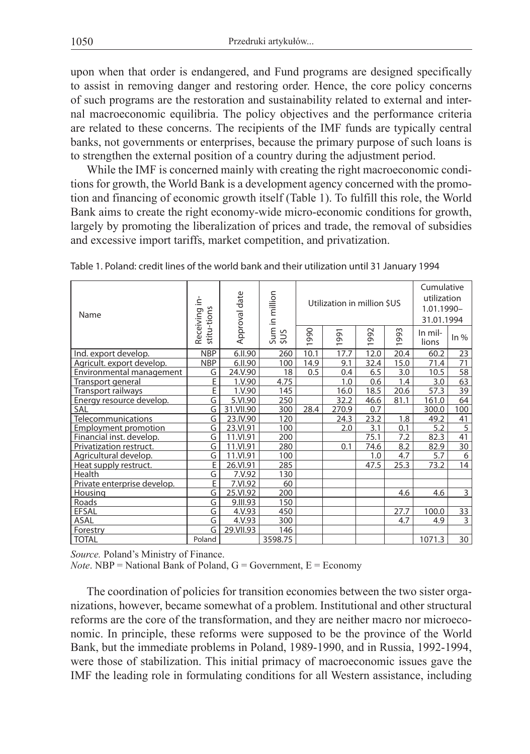upon when that order is endangered, and Fund programs are designed specifically to assist in removing danger and restoring order. Hence, the core policy concerns of such programs are the restoration and sustainability related to external and internal macroeconomic equilibria. The policy objectives and the performance criteria are related to these concerns. The recipients of the IMF funds are typically central banks, not governments or enterprises, because the primary purpose of such loans is to strengthen the external position of a country during the adjustment period.

While the IMF is concerned mainly with creating the right macroeconomic conditions for growth, the World Bank is a development agency concerned with the promotion and financing of economic growth itself (Table 1). To fulfill this role, the World Bank aims to create the right economy-wide micro-economic conditions for growth, largely by promoting the liberalization of prices and trade, the removal of subsidies and excessive import tariffs, market competition, and privatization.

| Name                        | ≟.                       | Approval date | Sum in million<br>\$US | Utilization in million \$US     |          |      |      | Cumulative<br>utilization<br>1.01.1990-<br>31.01.1994 |                 |
|-----------------------------|--------------------------|---------------|------------------------|---------------------------------|----------|------|------|-------------------------------------------------------|-----------------|
|                             | stitu-tions<br>Receiving |               |                        | 990<br>$\overline{\phantom{0}}$ | 991<br>÷ | 992  | 1993 | In mil-<br>lions                                      | $ln\%$          |
| Ind. export develop.        | <b>NBP</b>               | 6.II.90       | 260                    | 10.1                            | 17.7     | 12.0 | 20.4 | 60.2                                                  | 23              |
| Agricult. export develop.   | <b>NBP</b>               | 6.II.90       | 100                    | 14.9                            | 9.1      | 32.4 | 15.0 | 71.4                                                  | 71              |
| Environmental management    | G                        | 24.V.90       | 18                     | 0.5                             | 0.4      | 6.5  | 3.0  | 10.5                                                  | 58              |
| Transport general           | E                        | 1.V.90        | 4.75                   |                                 | 1.0      | 0.6  | 1.4  | 3.0                                                   | 63              |
| Transport railways          | E                        | 1.V.90        | 145                    |                                 | 16.0     | 18.5 | 20.6 | 57.3                                                  | 39              |
| Energy resource develop.    | G                        | 5.VI.90       | 250                    |                                 | 32.2     | 46.6 | 81.1 | 161.0                                                 | 64              |
| SAL                         | G                        | 31.VII.90     | 300                    | 28.4                            | 270.9    | 0.7  |      | 300.0                                                 | 100             |
| Telecommunications          | G                        | 23.IV.90      | 120                    |                                 | 24.3     | 23.2 | 1.8  | 49.2                                                  | 41              |
| <b>Employment promotion</b> | G                        | 23.VI.91      | 100                    |                                 | 2.0      | 3.1  | 0.1  | 5.2                                                   | 5               |
| Financial inst. develop.    | G                        | 11.VI.91      | 200                    |                                 |          | 75.1 | 7.2  | 82.3                                                  | 41              |
| Privatization restruct.     | G                        | 11.VI.91      | 280                    |                                 | 0.1      | 74.6 | 8.2  | 82.9                                                  | 30              |
| Agricultural develop.       | G                        | 11.VI.91      | 100                    |                                 |          | 1.0  | 4.7  | 5.7                                                   | 6               |
| Heat supply restruct.       | E                        | 26.VI.91      | 285                    |                                 |          | 47.5 | 25.3 | 73.2                                                  | 14              |
| Health                      | G                        | 7.V.92        | 130                    |                                 |          |      |      |                                                       |                 |
| Private enterprise develop. | E                        | 7.VI.92       | 60                     |                                 |          |      |      |                                                       |                 |
| Housing                     | G                        | 25.VI.92      | 200                    |                                 |          |      | 4.6  | 4.6                                                   | 3               |
| Roads                       | G                        | 9.III.93      | 150                    |                                 |          |      |      |                                                       |                 |
| <b>EFSAL</b>                | G                        | 4.V.93        | 450                    |                                 |          |      | 27.7 | 100.0                                                 | 33              |
| ASAL                        | G                        | 4.V.93        | 300                    |                                 |          |      | 4.7  | 4.9                                                   | 3               |
| Forestry                    | G                        | 29.VII.93     | 146                    |                                 |          |      |      |                                                       |                 |
| <b>TOTAL</b>                | Poland                   |               | 3598.75                |                                 |          |      |      | 1071.3                                                | 30 <sup>°</sup> |

Table 1. Poland: credit lines of the world bank and their utilization until 31 January 1994

*Source.* Poland's Ministry of Finance.

*Note*. NBP = National Bank of Poland,  $G = G$ overnment,  $E = E$ conomy

The coordination of policies for transition economies between the two sister organizations, however, became somewhat of a problem. Institutional and other structural reforms are the core of the transformation, and they are neither macro nor microeconomic. In principle, these reforms were supposed to be the province of the World Bank, but the immediate problems in Poland, 1989-1990, and in Russia, 1992-1994, were those of stabilization. This initial primacy of macroeconomic issues gave the IMF the leading role in formulating conditions for all Western assistance, including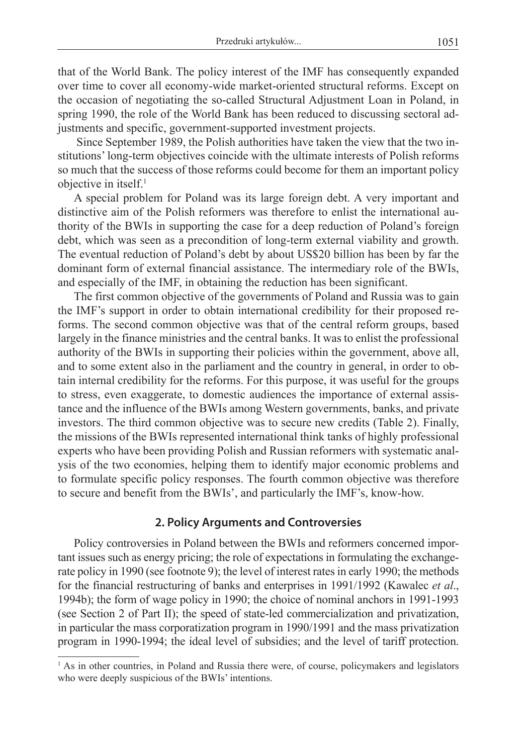that of the World Bank. The policy interest of the IMF has consequently expanded over time to cover all economy-wide market-oriented structural reforms. Except on the occasion of negotiating the so-called Structural Adjustment Loan in Poland, in spring 1990, the role of the World Bank has been reduced to discussing sectoral adjustments and specific, government-supported investment projects.

 Since September 1989, the Polish authorities have taken the view that the two institutions' long-term objectives coincide with the ultimate interests of Polish reforms so much that the success of those reforms could become for them an important policy objective in itself.<sup>1</sup>

A special problem for Poland was its large foreign debt. A very important and distinctive aim of the Polish reformers was therefore to enlist the international authority of the BWIs in supporting the case for a deep reduction of Poland's foreign debt, which was seen as a precondition of long-term external viability and growth. The eventual reduction of Poland's debt by about US\$20 billion has been by far the dominant form of external financial assistance. The intermediary role of the BWIs, and especially of the IMF, in obtaining the reduction has been significant.

The first common objective of the governments of Poland and Russia was to gain the IMF's support in order to obtain international credibility for their proposed reforms. The second common objective was that of the central reform groups, based largely in the finance ministries and the central banks. It was to enlist the professional authority of the BWIs in supporting their policies within the government, above all, and to some extent also in the parliament and the country in general, in order to obtain internal credibility for the reforms. For this purpose, it was useful for the groups to stress, even exaggerate, to domestic audiences the importance of external assistance and the influence of the BWIs among Western governments, banks, and private investors. The third common objective was to secure new credits (Table 2). Finally, the missions of the BWIs represented international think tanks of highly professional experts who have been providing Polish and Russian reformers with systematic analysis of the two economies, helping them to identify major economic problems and to formulate specific policy responses. The fourth common objective was therefore to secure and benefit from the BWIs', and particularly the IMF's, know-how.

#### **2. Policy Arguments and Controversies**

Policy controversies in Poland between the BWIs and reformers concerned important issues such as energy pricing; the role of expectations in formulating the exchangerate policy in 1990 (see footnote 9); the level of interest rates in early 1990; the methods for the financial restructuring of banks and enterprises in 1991/1992 (Kawalec *et al*., 1994b); the form of wage policy in 1990; the choice of nominal anchors in 1991-1993 (see Section 2 of Part II); the speed of state-led commercialization and privatization, in particular the mass corporatization program in 1990/1991 and the mass privatization program in 1990-1994; the ideal level of subsidies; and the level of tariff protection.

<sup>&</sup>lt;sup>1</sup> As in other countries, in Poland and Russia there were, of course, policymakers and legislators who were deeply suspicious of the BWIs' intentions.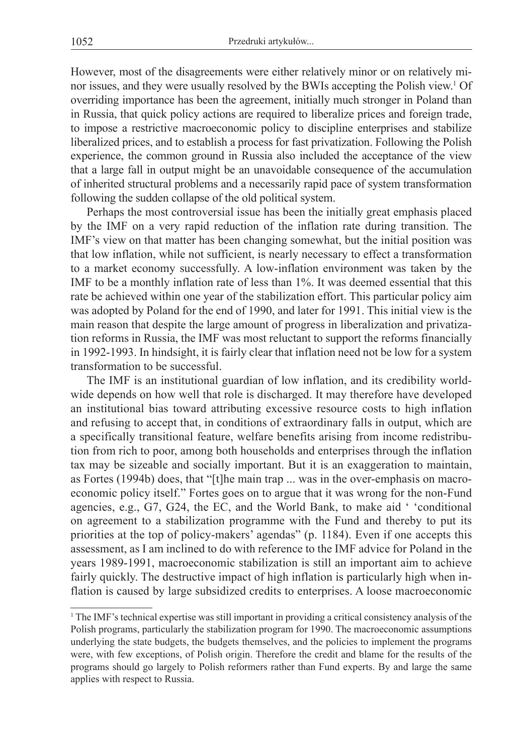However, most of the disagreements were either relatively minor or on relatively minor issues, and they were usually resolved by the BWIs accepting the Polish view.<sup>1</sup> Of overriding importance has been the agreement, initially much stronger in Poland than in Russia, that quick policy actions are required to liberalize prices and foreign trade, to impose a restrictive macroeconomic policy to discipline enterprises and stabilize liberalized prices, and to establish a process for fast privatization. Following the Polish experience, the common ground in Russia also included the acceptance of the view that a large fall in output might be an unavoidable consequence of the accumulation of inherited structural problems and a necessarily rapid pace of system transformation following the sudden collapse of the old political system.

Perhaps the most controversial issue has been the initially great emphasis placed by the IMF on a very rapid reduction of the inflation rate during transition. The IMF's view on that matter has been changing somewhat, but the initial position was that low inflation, while not sufficient, is nearly necessary to effect a transformation to a market economy successfully. A low-inflation environment was taken by the IMF to be a monthly inflation rate of less than 1%. It was deemed essential that this rate be achieved within one year of the stabilization effort. This particular policy aim was adopted by Poland for the end of 1990, and later for 1991. This initial view is the main reason that despite the large amount of progress in liberalization and privatization reforms in Russia, the IMF was most reluctant to support the reforms financially in 1992-1993. In hindsight, it is fairly clear that inflation need not be low for a system transformation to be successful.

The IMF is an institutional guardian of low inflation, and its credibility worldwide depends on how well that role is discharged. It may therefore have developed an institutional bias toward attributing excessive resource costs to high inflation and refusing to accept that, in conditions of extraordinary falls in output, which are a specifically transitional feature, welfare benefits arising from income redistribution from rich to poor, among both households and enterprises through the inflation tax may be sizeable and socially important. But it is an exaggeration to maintain, as Fortes (1994b) does, that "[t]he main trap ... was in the over-emphasis on macroeconomic policy itself." Fortes goes on to argue that it was wrong for the non-Fund agencies, e.g., G7, G24, the EC, and the World Bank, to make aid ' 'conditional on agreement to a stabilization programme with the Fund and thereby to put its priorities at the top of policy-makers' agendas" (p. 1184). Even if one accepts this assessment, as I am inclined to do with reference to the IMF advice for Poland in the years 1989-1991, macroeconomic stabilization is still an important aim to achieve fairly quickly. The destructive impact of high inflation is particularly high when inflation is caused by large subsidized credits to enterprises. A loose macroeconomic

<sup>1</sup> The IMF's technical expertise was still important in providing a critical consistency analysis of the Polish programs, particularly the stabilization program for 1990. The macroeconomic assumptions underlying the state budgets, the budgets themselves, and the policies to implement the programs were, with few exceptions, of Polish origin. Therefore the credit and blame for the results of the programs should go largely to Polish reformers rather than Fund experts. By and large the same applies with respect to Russia.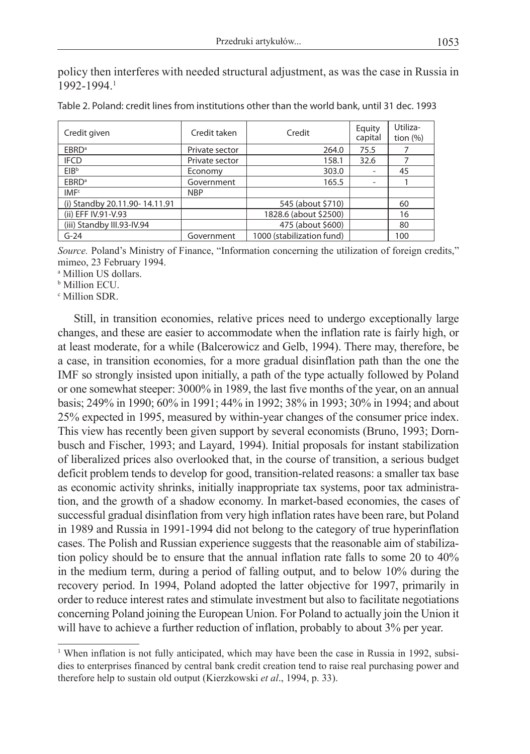policy then interferes with needed structural adjustment, as was the case in Russia in 1992-1994.1

| Credit given                  | Credit taken   | Credit                    | Equity<br>capital        | Utiliza-<br>tion $(\%)$ |
|-------------------------------|----------------|---------------------------|--------------------------|-------------------------|
| EBRD <sup>a</sup>             | Private sector | 264.0                     | 75.5                     |                         |
| <b>IFCD</b>                   | Private sector | 158.1                     | 32.6                     |                         |
| EIB <sup>b</sup>              | Economy        | 303.0                     | $\overline{\phantom{a}}$ | 45                      |
| EBRD <sup>a</sup>             | Government     | 165.5                     | ۰                        |                         |
| IMF <sup>c</sup>              | <b>NBP</b>     |                           |                          |                         |
| (i) Standby 20.11.90-14.11.91 |                | 545 (about \$710)         |                          | 60                      |
| (ii) EFF IV.91-V.93           |                | 1828.6 (about \$2500)     |                          | 16                      |
| (iii) Standby III.93-IV.94    |                | 475 (about \$600)         |                          | 80                      |
| $G-24$                        | Government     | 1000 (stabilization fund) |                          | 100                     |

| Table 2. Poland: credit lines from institutions other than the world bank, until 31 dec. 1993 |  |
|-----------------------------------------------------------------------------------------------|--|
|-----------------------------------------------------------------------------------------------|--|

*Source.* Poland's Ministry of Finance, "Information concerning the utilization of foreign credits," mimeo, 23 February 1994.

a Million US dollars.

b Million ECU.

<sup>c</sup> Million SDR.

Still, in transition economies, relative prices need to undergo exceptionally large changes, and these are easier to accommodate when the inflation rate is fairly high, or at least moderate, for a while (Balcerowicz and Gelb, 1994). There may, therefore, be a case, in transition economies, for a more gradual disinflation path than the one the IMF so strongly insisted upon initially, a path of the type actually followed by Poland or one somewhat steeper: 3000% in 1989, the last five months of the year, on an annual basis; 249% in 1990; 60% in 1991; 44% in 1992; 38% in 1993; 30% in 1994; and about 25% expected in 1995, measured by within-year changes of the consumer price index. This view has recently been given support by several economists (Bruno, 1993; Dornbusch and Fischer, 1993; and Layard, 1994). Initial proposals for instant stabilization of liberalized prices also overlooked that, in the course of transition, a serious budget deficit problem tends to develop for good, transition-related reasons: a smaller tax base as economic activity shrinks, initially inappropriate tax systems, poor tax administration, and the growth of a shadow economy. In market-based economies, the cases of successful gradual disinflation from very high inflation rates have been rare, but Poland in 1989 and Russia in 1991-1994 did not belong to the category of true hyperinflation cases. The Polish and Russian experience suggests that the reasonable aim of stabilization policy should be to ensure that the annual inflation rate falls to some 20 to 40% in the medium term, during a period of falling output, and to below 10% during the recovery period. In 1994, Poland adopted the latter objective for 1997, primarily in order to reduce interest rates and stimulate investment but also to facilitate negotiations concerning Poland joining the European Union. For Poland to actually join the Union it will have to achieve a further reduction of inflation, probably to about 3% per year.

<sup>&</sup>lt;sup>1</sup> When inflation is not fully anticipated, which may have been the case in Russia in 1992, subsidies to enterprises financed by central bank credit creation tend to raise real purchasing power and therefore help to sustain old output (Kierzkowski *et al*., 1994, p. 33).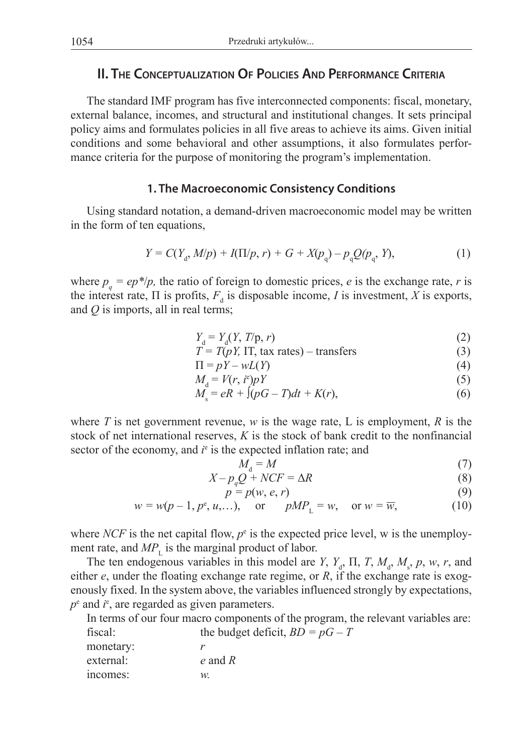# **II. The Conceptualization Of Policies And Performance Criteria**

The standard IMF program has five interconnected components: fiscal, monetary, external balance, incomes, and structural and institutional changes. It sets principal policy aims and formulates policies in all five areas to achieve its aims. Given initial conditions and some behavioral and other assumptions, it also formulates performance criteria for the purpose of monitoring the program's implementation.

## **1. The Macroeconomic Consistency Conditions**

Using standard notation, a demand-driven macroeconomic model may be written in the form of ten equations,

$$
Y = C(Y_{d}, M/p) + I(\Pi/p, r) + G + X(p_{q}) - p_{q}Q(p_{q}, Y),
$$
\n(1)

where  $p_q = ep^*/p$ , the ratio of foreign to domestic prices, *e* is the exchange rate, *r* is the interest rate,  $\Pi$  is profits,  $F_d$  is disposable income, *I* is investment, *X* is exports, and *Q* is imports, all in real terms;

$$
Y_{\rm d} = Y_{\rm d}(Y, T/\mathbf{p}, r) \tag{2}
$$

$$
T = T(pY, IT, tax rates) - transfers
$$
 (3)

$$
\Pi = pY - wL(Y) \tag{4}
$$

$$
M_{\rm d} = V(r, i^{\rm e}) p Y \tag{5}
$$

$$
M_s = eR + \int (pG - T)dt + K(r),\tag{6}
$$

where *T* is net government revenue, *w* is the wage rate, L is employment, *R* is the stock of net international reserves, *K* is the stock of bank credit to the nonfinancial sector of the economy, and  $i<sup>e</sup>$  is the expected inflation rate; and

$$
M_{\rm d} = M \tag{7}
$$

$$
X - p_q Q + NCF = \Delta R \tag{8}
$$

$$
p = p(w, e, r) \tag{9}
$$

$$
w = w(p-1, p^e, u,...),
$$
 or  $pMP_L = w,$  or  $w = \overline{w},$  (10)

where *NCF* is the net capital flow,  $p^e$  is the expected price level, w is the unemployment rate, and  $MP$ <sub>L</sub> is the marginal product of labor.

The ten endogenous variables in this model are *Y*,  $Y_d$ ,  $\Pi$ ,  $T$ ,  $M_d$ ,  $M_s$ ,  $p$ ,  $w$ ,  $r$ , and either *e*, under the floating exchange rate regime, or *R*, if the exchange rate is exogenously fixed. In the system above, the variables influenced strongly by expectations,  $p^e$  and  $i^e$ , are regarded as given parameters.

In terms of our four macro components of the program, the relevant variables are:

| the budget deficit, $BD = pG - T$ |
|-----------------------------------|
|                                   |
| $e$ and $R$                       |
| W.                                |
|                                   |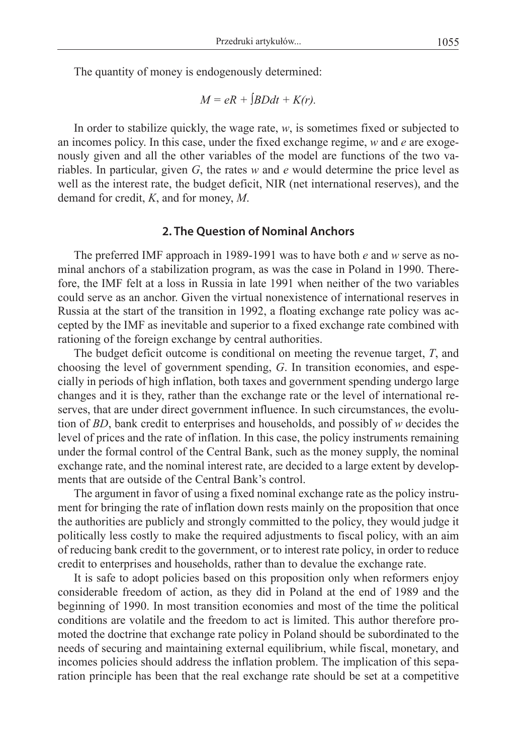$$
M = eR + [BDdt + K(r)].
$$

In order to stabilize quickly, the wage rate, *w*, is sometimes fixed or subjected to an incomes policy. In this case, under the fixed exchange regime, *w* and *e* are exogenously given and all the other variables of the model are functions of the two variables. In particular, given *G*, the rates *w* and *e* would determine the price level as well as the interest rate, the budget deficit, NIR (net international reserves), and the demand for credit, *K*, and for money, *M*.

#### **2. The Question of Nominal Anchors**

The preferred IMF approach in 1989-1991 was to have both *e* and *w* serve as nominal anchors of a stabilization program, as was the case in Poland in 1990. Therefore, the IMF felt at a loss in Russia in late 1991 when neither of the two variables could serve as an anchor. Given the virtual nonexistence of international reserves in Russia at the start of the transition in 1992, a floating exchange rate policy was accepted by the IMF as inevitable and superior to a fixed exchange rate combined with rationing of the foreign exchange by central authorities.

The budget deficit outcome is conditional on meeting the revenue target, *T*, and choosing the level of government spending, *G*. In transition economies, and especially in periods of high inflation, both taxes and government spending undergo large changes and it is they, rather than the exchange rate or the level of international reserves, that are under direct government influence. In such circumstances, the evolution of *BD*, bank credit to enterprises and households, and possibly of *w* decides the level of prices and the rate of inflation. In this case, the policy instruments remaining under the formal control of the Central Bank, such as the money supply, the nominal exchange rate, and the nominal interest rate, are decided to a large extent by developments that are outside of the Central Bank's control.

The argument in favor of using a fixed nominal exchange rate as the policy instrument for bringing the rate of inflation down rests mainly on the proposition that once the authorities are publicly and strongly committed to the policy, they would judge it politically less costly to make the required adjustments to fiscal policy, with an aim of reducing bank credit to the government, or to interest rate policy, in order to reduce credit to enterprises and households, rather than to devalue the exchange rate.

It is safe to adopt policies based on this proposition only when reformers enjoy considerable freedom of action, as they did in Poland at the end of 1989 and the beginning of 1990. In most transition economies and most of the time the political conditions are volatile and the freedom to act is limited. This author therefore promoted the doctrine that exchange rate policy in Poland should be subordinated to the needs of securing and maintaining external equilibrium, while fiscal, monetary, and incomes policies should address the inflation problem. The implication of this separation principle has been that the real exchange rate should be set at a competitive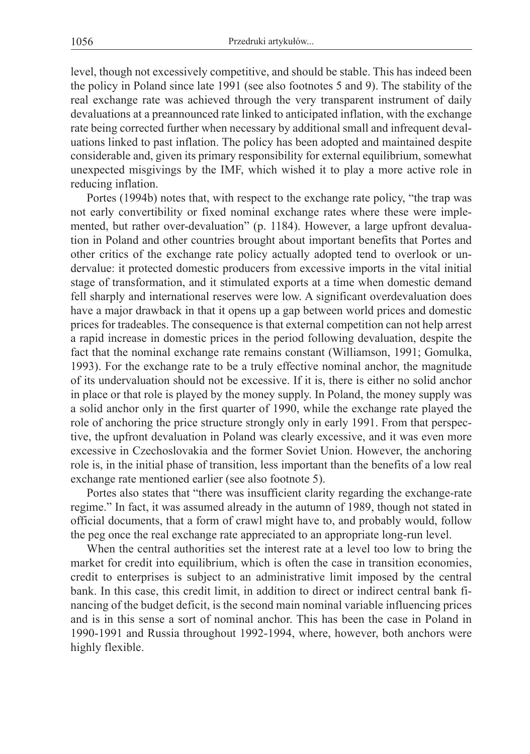level, though not excessively competitive, and should be stable. This has indeed been the policy in Poland since late 1991 (see also footnotes 5 and 9). The stability of the real exchange rate was achieved through the very transparent instrument of daily devaluations at a preannounced rate linked to anticipated inflation, with the exchange rate being corrected further when necessary by additional small and infrequent devaluations linked to past inflation. The policy has been adopted and maintained despite considerable and, given its primary responsibility for external equilibrium, somewhat unexpected misgivings by the IMF, which wished it to play a more active role in reducing inflation.

Portes (1994b) notes that, with respect to the exchange rate policy, "the trap was not early convertibility or fixed nominal exchange rates where these were implemented, but rather over-devaluation" (p. 1184). However, a large upfront devaluation in Poland and other countries brought about important benefits that Portes and other critics of the exchange rate policy actually adopted tend to overlook or undervalue: it protected domestic producers from excessive imports in the vital initial stage of transformation, and it stimulated exports at a time when domestic demand fell sharply and international reserves were low. A significant overdevaluation does have a major drawback in that it opens up a gap between world prices and domestic prices for tradeables. The consequence is that external competition can not help arrest a rapid increase in domestic prices in the period following devaluation, despite the fact that the nominal exchange rate remains constant (Williamson, 1991; Gomulka, 1993). For the exchange rate to be a truly effective nominal anchor, the magnitude of its undervaluation should not be excessive. If it is, there is either no solid anchor in place or that role is played by the money supply. In Poland, the money supply was a solid anchor only in the first quarter of 1990, while the exchange rate played the role of anchoring the price structure strongly only in early 1991. From that perspective, the upfront devaluation in Poland was clearly excessive, and it was even more excessive in Czechoslovakia and the former Soviet Union. However, the anchoring role is, in the initial phase of transition, less important than the benefits of a low real exchange rate mentioned earlier (see also footnote 5).

Portes also states that "there was insufficient clarity regarding the exchange-rate regime." In fact, it was assumed already in the autumn of 1989, though not stated in official documents, that a form of crawl might have to, and probably would, follow the peg once the real exchange rate appreciated to an appropriate long-run level.

When the central authorities set the interest rate at a level too low to bring the market for credit into equilibrium, which is often the case in transition economies, credit to enterprises is subject to an administrative limit imposed by the central bank. In this case, this credit limit, in addition to direct or indirect central bank financing of the budget deficit, is the second main nominal variable influencing prices and is in this sense a sort of nominal anchor. This has been the case in Poland in 1990-1991 and Russia throughout 1992-1994, where, however, both anchors were highly flexible.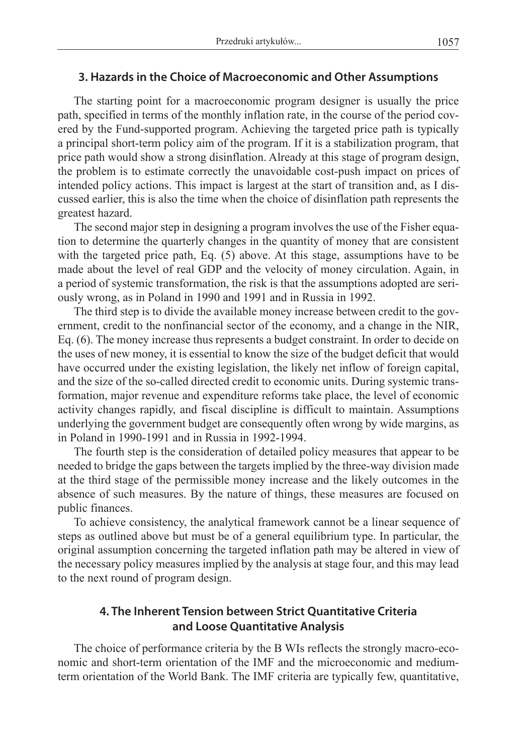## **3. Hazards in the Choice of Macroeconomic and Other Assumptions**

The starting point for a macroeconomic program designer is usually the price path, specified in terms of the monthly inflation rate, in the course of the period covered by the Fund-supported program. Achieving the targeted price path is typically a principal short-term policy aim of the program. If it is a stabilization program, that price path would show a strong disinflation. Already at this stage of program design, the problem is to estimate correctly the unavoidable cost-push impact on prices of intended policy actions. This impact is largest at the start of transition and, as I discussed earlier, this is also the time when the choice of disinflation path represents the greatest hazard.

The second major step in designing a program involves the use of the Fisher equation to determine the quarterly changes in the quantity of money that are consistent with the targeted price path, Eq. (5) above. At this stage, assumptions have to be made about the level of real GDP and the velocity of money circulation. Again, in a period of systemic transformation, the risk is that the assumptions adopted are seriously wrong, as in Poland in 1990 and 1991 and in Russia in 1992.

The third step is to divide the available money increase between credit to the government, credit to the nonfinancial sector of the economy, and a change in the NIR, Eq. (6). The money increase thus represents a budget constraint. In order to decide on the uses of new money, it is essential to know the size of the budget deficit that would have occurred under the existing legislation, the likely net inflow of foreign capital, and the size of the so-called directed credit to economic units. During systemic transformation, major revenue and expenditure reforms take place, the level of economic activity changes rapidly, and fiscal discipline is difficult to maintain. Assumptions underlying the government budget are consequently often wrong by wide margins, as in Poland in 1990-1991 and in Russia in 1992-1994.

The fourth step is the consideration of detailed policy measures that appear to be needed to bridge the gaps between the targets implied by the three-way division made at the third stage of the permissible money increase and the likely outcomes in the absence of such measures. By the nature of things, these measures are focused on public finances.

To achieve consistency, the analytical framework cannot be a linear sequence of steps as outlined above but must be of a general equilibrium type. In particular, the original assumption concerning the targeted inflation path may be altered in view of the necessary policy measures implied by the analysis at stage four, and this may lead to the next round of program design.

# **4. The Inherent Tension between Strict Quantitative Criteria and Loose Quantitative Analysis**

The choice of performance criteria by the B WIs reflects the strongly macro-economic and short-term orientation of the IMF and the microeconomic and mediumterm orientation of the World Bank. The IMF criteria are typically few, quantitative,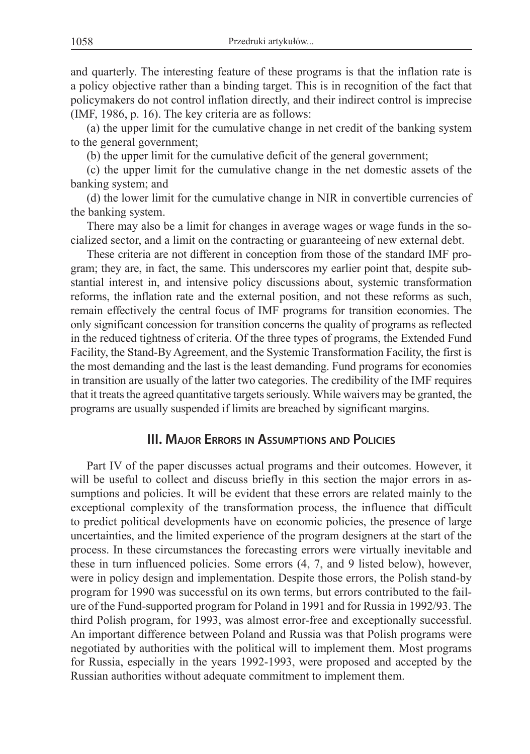and quarterly. The interesting feature of these programs is that the inflation rate is a policy objective rather than a binding target. This is in recognition of the fact that policymakers do not control inflation directly, and their indirect control is imprecise (IMF, 1986, p. 16). The key criteria are as follows:

(a) the upper limit for the cumulative change in net credit of the banking system to the general government;

(b) the upper limit for the cumulative deficit of the general government;

(c) the upper limit for the cumulative change in the net domestic assets of the banking system; and

(d) the lower limit for the cumulative change in NIR in convertible currencies of the banking system.

There may also be a limit for changes in average wages or wage funds in the socialized sector, and a limit on the contracting or guaranteeing of new external debt.

These criteria are not different in conception from those of the standard IMF program; they are, in fact, the same. This underscores my earlier point that, despite substantial interest in, and intensive policy discussions about, systemic transformation reforms, the inflation rate and the external position, and not these reforms as such, remain effectively the central focus of IMF programs for transition economies. The only significant concession for transition concerns the quality of programs as reflected in the reduced tightness of criteria. Of the three types of programs, the Extended Fund Facility, the Stand-By Agreement, and the Systemic Transformation Facility, the first is the most demanding and the last is the least demanding. Fund programs for economies in transition are usually of the latter two categories. The credibility of the IMF requires that it treats the agreed quantitative targets seriously. While waivers may be granted, the programs are usually suspended if limits are breached by significant margins.

## **III. Major Errors in Assumptions and Policies**

Part IV of the paper discusses actual programs and their outcomes. However, it will be useful to collect and discuss briefly in this section the major errors in assumptions and policies. It will be evident that these errors are related mainly to the exceptional complexity of the transformation process, the influence that difficult to predict political developments have on economic policies, the presence of large uncertainties, and the limited experience of the program designers at the start of the process. In these circumstances the forecasting errors were virtually inevitable and these in turn influenced policies. Some errors (4, 7, and 9 listed below), however, were in policy design and implementation. Despite those errors, the Polish stand-by program for 1990 was successful on its own terms, but errors contributed to the failure of the Fund-supported program for Poland in 1991 and for Russia in 1992/93. The third Polish program, for 1993, was almost error-free and exceptionally successful. An important difference between Poland and Russia was that Polish programs were negotiated by authorities with the political will to implement them. Most programs for Russia, especially in the years 1992-1993, were proposed and accepted by the Russian authorities without adequate commitment to implement them.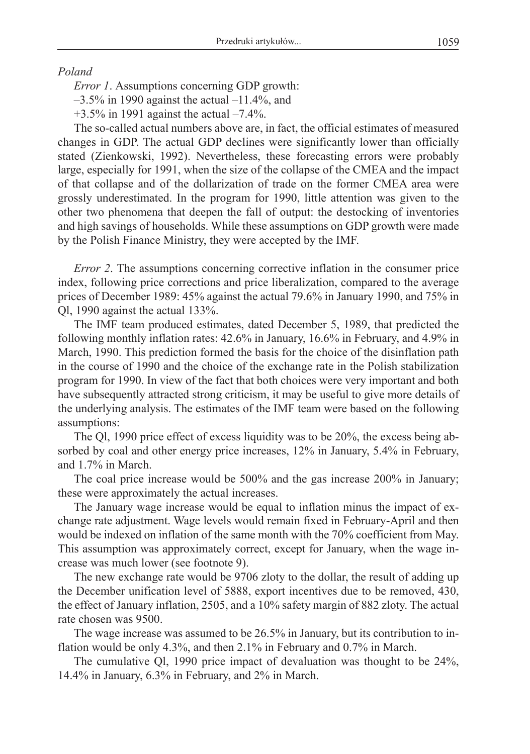*Poland*

*Error 1*. Assumptions concerning GDP growth:

 $-3.5\%$  in 1990 against the actual  $-11.4\%$ , and

 $+3.5\%$  in 1991 against the actual  $-7.4\%$ .

The so-called actual numbers above are, in fact, the official estimates of measured changes in GDP. The actual GDP declines were significantly lower than officially stated (Zienkowski, 1992). Nevertheless, these forecasting errors were probably large, especially for 1991, when the size of the collapse of the CMEA and the impact of that collapse and of the dollarization of trade on the former CMEA area were grossly underestimated. In the program for 1990, little attention was given to the other two phenomena that deepen the fall of output: the destocking of inventories and high savings of households. While these assumptions on GDP growth were made by the Polish Finance Ministry, they were accepted by the IMF.

*Error 2.* The assumptions concerning corrective inflation in the consumer price index, following price corrections and price liberalization, compared to the average prices of December 1989: 45% against the actual 79.6% in January 1990, and 75% in Ql, 1990 against the actual 133%.

The IMF team produced estimates, dated December 5, 1989, that predicted the following monthly inflation rates: 42.6% in January, 16.6% in February, and 4.9% in March, 1990. This prediction formed the basis for the choice of the disinflation path in the course of 1990 and the choice of the exchange rate in the Polish stabilization program for 1990. In view of the fact that both choices were very important and both have subsequently attracted strong criticism, it may be useful to give more details of the underlying analysis. The estimates of the IMF team were based on the following assumptions:

The Ql, 1990 price effect of excess liquidity was to be 20%, the excess being absorbed by coal and other energy price increases, 12% in January, 5.4% in February, and 1.7% in March.

The coal price increase would be 500% and the gas increase 200% in January; these were approximately the actual increases.

The January wage increase would be equal to inflation minus the impact of exchange rate adjustment. Wage levels would remain fixed in February-April and then would be indexed on inflation of the same month with the 70% coefficient from May. This assumption was approximately correct, except for January, when the wage increase was much lower (see footnote 9).

The new exchange rate would be 9706 zloty to the dollar, the result of adding up the December unification level of 5888, export incentives due to be removed, 430, the effect of January inflation, 2505, and a 10% safety margin of 882 zloty. The actual rate chosen was 9500.

The wage increase was assumed to be 26.5% in January, but its contribution to inflation would be only 4.3%, and then 2.1% in February and 0.7% in March.

The cumulative Ql, 1990 price impact of devaluation was thought to be 24%, 14.4% in January, 6.3% in February, and 2% in March.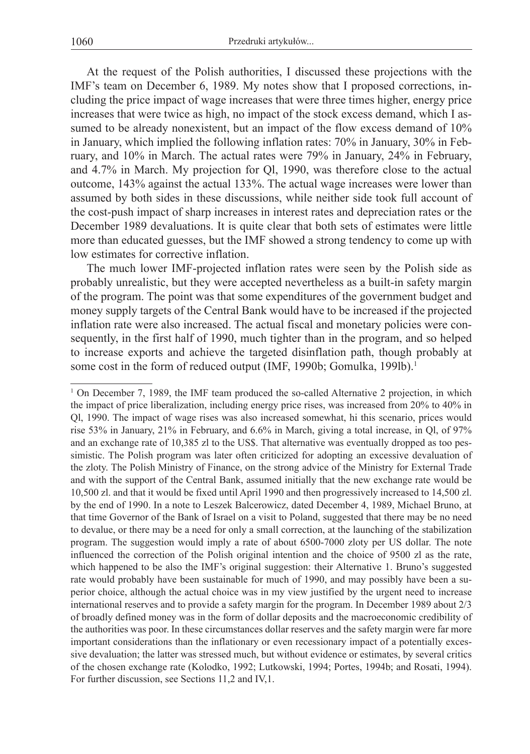At the request of the Polish authorities, I discussed these projections with the IMF's team on December 6, 1989. My notes show that I proposed corrections, including the price impact of wage increases that were three times higher, energy price increases that were twice as high, no impact of the stock excess demand, which I assumed to be already nonexistent, but an impact of the flow excess demand of  $10\%$ in January, which implied the following inflation rates: 70% in January, 30% in February, and 10% in March. The actual rates were 79% in January, 24% in February, and 4.7% in March. My projection for Ql, 1990, was therefore close to the actual outcome, 143% against the actual 133%. The actual wage increases were lower than assumed by both sides in these discussions, while neither side took full account of the cost-push impact of sharp increases in interest rates and depreciation rates or the December 1989 devaluations. It is quite clear that both sets of estimates were little more than educated guesses, but the IMF showed a strong tendency to come up with low estimates for corrective inflation.

The much lower IMF-projected inflation rates were seen by the Polish side as probably unrealistic, but they were accepted nevertheless as a built-in safety margin of the program. The point was that some expenditures of the government budget and money supply targets of the Central Bank would have to be increased if the projected inflation rate were also increased. The actual fiscal and monetary policies were consequently, in the first half of 1990, much tighter than in the program, and so helped to increase exports and achieve the targeted disinflation path, though probably at some cost in the form of reduced output (IMF, 1990b; Gomulka, 199lb).<sup>1</sup>

<sup>&</sup>lt;sup>1</sup> On December 7, 1989, the IMF team produced the so-called Alternative 2 projection, in which the impact of price liberalization, including energy price rises, was increased from 20% to 40% in Ql, 1990. The impact of wage rises was also increased somewhat, hi this scenario, prices would rise 53% in January, 21% in February, and 6.6% in March, giving a total increase, in Ql, of 97% and an exchange rate of 10,385 zl to the US\$. That alternative was eventually dropped as too pessimistic. The Polish program was later often criticized for adopting an excessive devaluation of the zloty. The Polish Ministry of Finance, on the strong advice of the Ministry for External Trade and with the support of the Central Bank, assumed initially that the new exchange rate would be 10,500 zl. and that it would be fixed until April 1990 and then progressively increased to 14,500 zl. by the end of 1990. In a note to Leszek Balcerowicz, dated December 4, 1989, Michael Bruno, at that time Governor of the Bank of Israel on a visit to Poland, suggested that there may be no need to devalue, or there may be a need for only a small correction, at the launching of the stabilization program. The suggestion would imply a rate of about 6500-7000 zloty per US dollar. The note influenced the correction of the Polish original intention and the choice of 9500 zl as the rate, which happened to be also the IMF's original suggestion: their Alternative 1. Bruno's suggested rate would probably have been sustainable for much of 1990, and may possibly have been a superior choice, although the actual choice was in my view justified by the urgent need to increase international reserves and to provide a safety margin for the program. In December 1989 about 2/3 of broadly defined money was in the form of dollar deposits and the macroeconomic credibility of the authorities was poor. In these circumstances dollar reserves and the safety margin were far more important considerations than the inflationary or even recessionary impact of a potentially excessive devaluation; the latter was stressed much, but without evidence or estimates, by several critics of the chosen exchange rate (Kolodko, 1992; Lutkowski, 1994; Portes, 1994b; and Rosati, 1994). For further discussion, see Sections 11,2 and IV,1.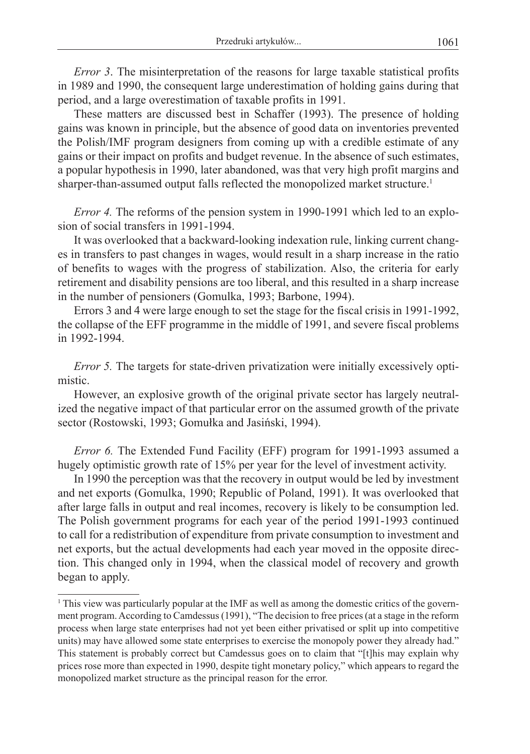*Error 3*. The misinterpretation of the reasons for large taxable statistical profits in 1989 and 1990, the consequent large underestimation of holding gains during that period, and a large overestimation of taxable profits in 1991.

These matters are discussed best in Schaffer (1993). The presence of holding gains was known in principle, but the absence of good data on inventories prevented the Polish/IMF program designers from coming up with a credible estimate of any gains or their impact on profits and budget revenue. In the absence of such estimates, a popular hypothesis in 1990, later abandoned, was that very high profit margins and sharper-than-assumed output falls reflected the monopolized market structure.<sup>1</sup>

*Error 4.* The reforms of the pension system in 1990-1991 which led to an explosion of social transfers in 1991-1994.

It was overlooked that a backward-looking indexation rule, linking current changes in transfers to past changes in wages, would result in a sharp increase in the ratio of benefits to wages with the progress of stabilization. Also, the criteria for early retirement and disability pensions are too liberal, and this resulted in a sharp increase in the number of pensioners (Gomulka, 1993; Barbone, 1994).

Errors 3 and 4 were large enough to set the stage for the fiscal crisis in 1991-1992, the collapse of the EFF programme in the middle of 1991, and severe fiscal problems in 1992-1994.

*Error 5.* The targets for state-driven privatization were initially excessively optimistic.

However, an explosive growth of the original private sector has largely neutralized the negative impact of that particular error on the assumed growth of the private sector (Rostowski, 1993; Gomułka and Jasiński, 1994).

*Error 6.* The Extended Fund Facility (EFF) program for 1991-1993 assumed a hugely optimistic growth rate of 15% per year for the level of investment activity.

In 1990 the perception was that the recovery in output would be led by investment and net exports (Gomulka, 1990; Republic of Poland, 1991). It was overlooked that after large falls in output and real incomes, recovery is likely to be consumption led. The Polish government programs for each year of the period 1991-1993 continued to call for a redistribution of expenditure from private consumption to investment and net exports, but the actual developments had each year moved in the opposite direction. This changed only in 1994, when the classical model of recovery and growth began to apply.

<sup>1</sup> This view was particularly popular at the IMF as well as among the domestic critics of the government program. According to Camdessus (1991), "The decision to free prices (at a stage in the reform process when large state enterprises had not yet been either privatised or split up into competitive units) may have allowed some state enterprises to exercise the monopoly power they already had." This statement is probably correct but Camdessus goes on to claim that "[t]his may explain why prices rose more than expected in 1990, despite tight monetary policy," which appears to regard the monopolized market structure as the principal reason for the error.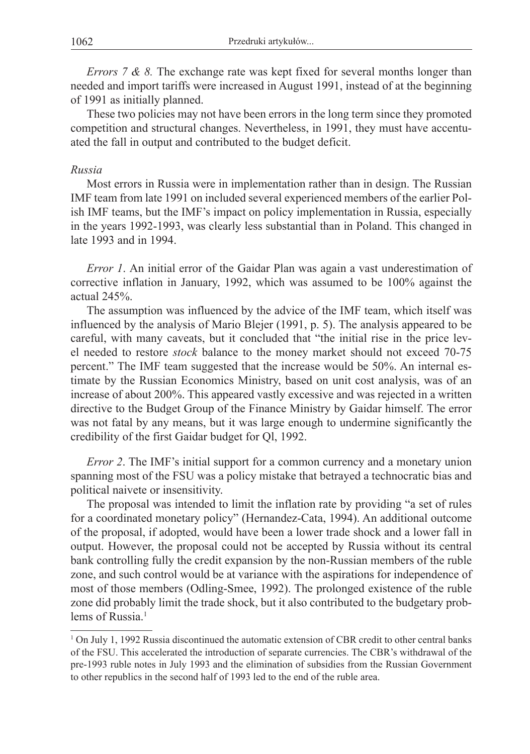*Errors 7 & 8.* The exchange rate was kept fixed for several months longer than needed and import tariffs were increased in August 1991, instead of at the beginning of 1991 as initially planned.

These two policies may not have been errors in the long term since they promoted competition and structural changes. Nevertheless, in 1991, they must have accentuated the fall in output and contributed to the budget deficit.

## *Russia*

Most errors in Russia were in implementation rather than in design. The Russian IMF team from late 1991 on included several experienced members of the earlier Polish IMF teams, but the IMF's impact on policy implementation in Russia, especially in the years 1992-1993, was clearly less substantial than in Poland. This changed in late 1993 and in 1994.

*Error 1*. An initial error of the Gaidar Plan was again a vast underestimation of corrective inflation in January, 1992, which was assumed to be 100% against the actual 245%.

The assumption was influenced by the advice of the IMF team, which itself was influenced by the analysis of Mario Blejer (1991, p. 5). The analysis appeared to be careful, with many caveats, but it concluded that "the initial rise in the price level needed to restore *stock* balance to the money market should not exceed 70-75 percent." The IMF team suggested that the increase would be 50%. An internal estimate by the Russian Economics Ministry, based on unit cost analysis, was of an increase of about 200%. This appeared vastly excessive and was rejected in a written directive to the Budget Group of the Finance Ministry by Gaidar himself. The error was not fatal by any means, but it was large enough to undermine significantly the credibility of the first Gaidar budget for Ql, 1992.

*Error 2*. The IMF's initial support for a common currency and a monetary union spanning most of the FSU was a policy mistake that betrayed a technocratic bias and political naivete or insensitivity.

The proposal was intended to limit the inflation rate by providing "a set of rules for a coordinated monetary policy" (Hernandez-Cata, 1994). An additional outcome of the proposal, if adopted, would have been a lower trade shock and a lower fall in output. However, the proposal could not be accepted by Russia without its central bank controlling fully the credit expansion by the non-Russian members of the ruble zone, and such control would be at variance with the aspirations for independence of most of those members (Odling-Smee, 1992). The prolonged existence of the ruble zone did probably limit the trade shock, but it also contributed to the budgetary problems of Russia<sup>1</sup>

<sup>&</sup>lt;sup>1</sup> On July 1, 1992 Russia discontinued the automatic extension of CBR credit to other central banks of the FSU. This accelerated the introduction of separate currencies. The CBR's withdrawal of the pre-1993 ruble notes in July 1993 and the elimination of subsidies from the Russian Government to other republics in the second half of 1993 led to the end of the ruble area.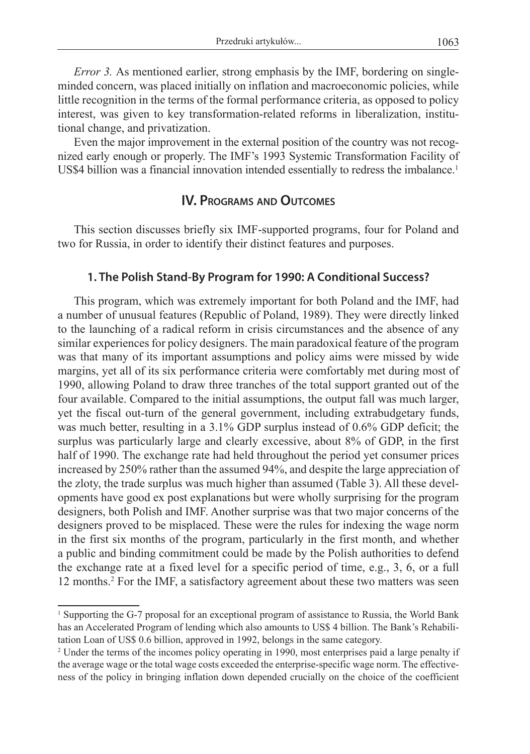*Error 3.* As mentioned earlier, strong emphasis by the IMF, bordering on singleminded concern, was placed initially on inflation and macroeconomic policies, while little recognition in the terms of the formal performance criteria, as opposed to policy interest, was given to key transformation-related reforms in liberalization, institutional change, and privatization.

Even the major improvement in the external position of the country was not recognized early enough or properly. The IMF's 1993 Systemic Transformation Facility of US\$4 billion was a financial innovation intended essentially to redress the imbalance.<sup>1</sup>

## **IV. Programs and Outcomes**

This section discusses briefly six IMF-supported programs, four for Poland and two for Russia, in order to identify their distinct features and purposes.

## **1. The Polish Stand-By Program for 1990: A Conditional Success?**

This program, which was extremely important for both Poland and the IMF, had a number of unusual features (Republic of Poland, 1989). They were directly linked to the launching of a radical reform in crisis circumstances and the absence of any similar experiences for policy designers. The main paradoxical feature of the program was that many of its important assumptions and policy aims were missed by wide margins, yet all of its six performance criteria were comfortably met during most of 1990, allowing Poland to draw three tranches of the total support granted out of the four available. Compared to the initial assumptions, the output fall was much larger, yet the fiscal out-turn of the general government, including extrabudgetary funds, was much better, resulting in a 3.1% GDP surplus instead of 0.6% GDP deficit; the surplus was particularly large and clearly excessive, about 8% of GDP, in the first half of 1990. The exchange rate had held throughout the period yet consumer prices increased by 250% rather than the assumed 94%, and despite the large appreciation of the zloty, the trade surplus was much higher than assumed (Table 3). All these developments have good ex post explanations but were wholly surprising for the program designers, both Polish and IMF. Another surprise was that two major concerns of the designers proved to be misplaced. These were the rules for indexing the wage norm in the first six months of the program, particularly in the first month, and whether a public and binding commitment could be made by the Polish authorities to defend the exchange rate at a fixed level for a specific period of time, e.g., 3, 6, or a full 12 months.<sup>2</sup> For the IMF, a satisfactory agreement about these two matters was seen

<sup>1</sup> Supporting the G-7 proposal for an exceptional program of assistance to Russia, the World Bank has an Accelerated Program of lending which also amounts to US\$ 4 billion. The Bank's Rehabilitation Loan of US\$ 0.6 billion, approved in 1992, belongs in the same category.

<sup>&</sup>lt;sup>2</sup> Under the terms of the incomes policy operating in 1990, most enterprises paid a large penalty if the average wage or the total wage costs exceeded the enterprise-specific wage norm. The effectiveness of the policy in bringing inflation down depended crucially on the choice of the coefficient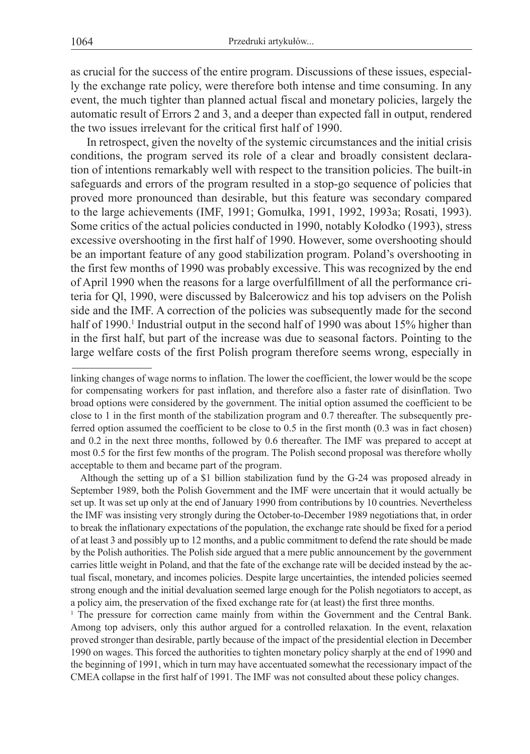as crucial for the success of the entire program. Discussions of these issues, especially the exchange rate policy, were therefore both intense and time consuming. In any event, the much tighter than planned actual fiscal and monetary policies, largely the automatic result of Errors 2 and 3, and a deeper than expected fall in output, rendered the two issues irrelevant for the critical first half of 1990.

In retrospect, given the novelty of the systemic circumstances and the initial crisis conditions, the program served its role of a clear and broadly consistent declaration of intentions remarkably well with respect to the transition policies. The built-in safeguards and errors of the program resulted in a stop-go sequence of policies that proved more pronounced than desirable, but this feature was secondary compared to the large achievements (IMF, 1991; Gomułka, 1991, 1992, 1993a; Rosati, 1993). Some critics of the actual policies conducted in 1990, notably Kołodko (1993), stress excessive overshooting in the first half of 1990. However, some overshooting should be an important feature of any good stabilization program. Poland's overshooting in the first few months of 1990 was probably excessive. This was recognized by the end of April 1990 when the reasons for a large overfulfillment of all the performance criteria for Ql, 1990, were discussed by Balcerowicz and his top advisers on the Polish side and the IMF. A correction of the policies was subsequently made for the second half of 1990.<sup>1</sup> Industrial output in the second half of 1990 was about 15% higher than in the first half, but part of the increase was due to seasonal factors. Pointing to the large welfare costs of the first Polish program therefore seems wrong, especially in

Although the setting up of a \$1 billion stabilization fund by the G-24 was proposed already in September 1989, both the Polish Government and the IMF were uncertain that it would actually be set up. It was set up only at the end of January 1990 from contributions by 10 countries. Nevertheless the IMF was insisting very strongly during the October-to-December 1989 negotiations that, in order to break the inflationary expectations of the population, the exchange rate should be fixed for a period of at least 3 and possibly up to 12 months, and a public commitment to defend the rate should be made by the Polish authorities. The Polish side argued that a mere public announcement by the government carries little weight in Poland, and that the fate of the exchange rate will be decided instead by the actual fiscal, monetary, and incomes policies. Despite large uncertainties, the intended policies seemed strong enough and the initial devaluation seemed large enough for the Polish negotiators to accept, as a policy aim, the preservation of the fixed exchange rate for (at least) the first three months.

<sup>1</sup> The pressure for correction came mainly from within the Government and the Central Bank. Among top advisers, only this author argued for a controlled relaxation. In the event, relaxation proved stronger than desirable, partly because of the impact of the presidential election in December 1990 on wages. This forced the authorities to tighten monetary policy sharply at the end of 1990 and the beginning of 1991, which in turn may have accentuated somewhat the recessionary impact of the CMEA collapse in the first half of 1991. The IMF was not consulted about these policy changes.

linking changes of wage norms to inflation. The lower the coefficient, the lower would be the scope for compensating workers for past inflation, and therefore also a faster rate of disinflation. Two broad options were considered by the government. The initial option assumed the coefficient to be close to 1 in the first month of the stabilization program and 0.7 thereafter. The subsequently preferred option assumed the coefficient to be close to 0.5 in the first month (0.3 was in fact chosen) and 0.2 in the next three months, followed by 0.6 thereafter. The IMF was prepared to accept at most 0.5 for the first few months of the program. The Polish second proposal was therefore wholly acceptable to them and became part of the program.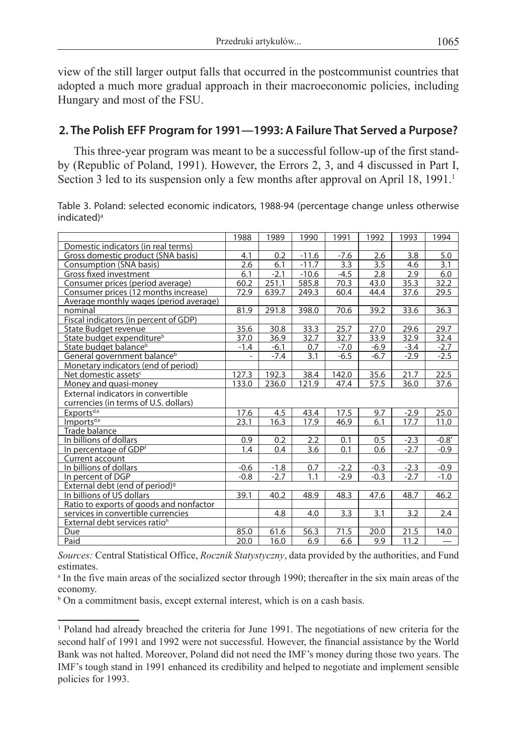view of the still larger output falls that occurred in the postcommunist countries that adopted a much more gradual approach in their macroeconomic policies, including Hungary and most of the FSU.

# **2. The Polish EFF Program for 1991—1993: A Failure That Served a Purpose?**

This three-year program was meant to be a successful follow-up of the first standby (Republic of Poland, 1991). However, the Errors 2, 3, and 4 discussed in Part I, Section 3 led to its suspension only a few months after approval on April 18,  $1991<sup>1</sup>$ 

Table 3. Poland: selected economic indicators, 1988-94 (percentage change unless otherwise indicated) a

|                                            | 1988           | 1989   | 1990    | 1991   | 1992   | 1993   | 1994    |
|--------------------------------------------|----------------|--------|---------|--------|--------|--------|---------|
| Domestic indicators (in real terms)        |                |        |         |        |        |        |         |
| Gross domestic product (SNA basis)         | 4.1            | 0.2    | $-11.6$ | $-7.6$ | 2.6    | 3.8    | 5.0     |
| Consumption (SNA basis)                    | 2.6            | 6.1    | $-11.7$ | 3.3    | 3.5    | 4.6    | 3.1     |
| Gross fixed investment                     | 6.1            | $-2.1$ | $-10.6$ | $-4.5$ | 2.8    | 2.9    | 6.0     |
| Consumer prices (period average)           | 60.2           | 251.1  | 585.8   | 70.3   | 43.0   | 35.3   | 32.2    |
| Consumer prices (12 months increase)       | 72.9           | 639.7  | 249.3   | 60.4   | 44.4   | 37.6   | 29.5    |
| Average monthly wages (period average)     |                |        |         |        |        |        |         |
| nominal                                    | 81.9           | 291.8  | 398.0   | 70.6   | 39.2   | 33.6   | 36.3    |
| Fiscal indicators (in percent of GDP)      |                |        |         |        |        |        |         |
| State Budget revenue                       | 35.6           | 30.8   | 33.3    | 25.7   | 27.0   | 29.6   | 29.7    |
| State budget expenditure <sup>b</sup>      | 37.0           | 36.9   | 32.7    | 32.7   | 33.9   | 32.9   | 32.4    |
| State budget balance <sup>b</sup>          | $-1.4$         | $-6.1$ | 0.7     | $-7.0$ | $-6.9$ | $-3.4$ | $-2.7$  |
| General government balance <sup>b</sup>    | $\overline{a}$ | $-7.4$ | 3.1     | $-6.5$ | $-6.7$ | $-2.9$ | $-2.5$  |
| Monetary indicators (end of period)        |                |        |         |        |        |        |         |
| Net domestic assets <sup>c</sup>           | 127.3          | 192.3  | 38.4    | 142.0  | 35.6   | 21.7   | 22.5    |
| Money and quasi-money                      | 133.0          | 236.0  | 121.9   | 47.4   | 57.5   | 36.0   | 37.6    |
| External indicators in convertible         |                |        |         |        |        |        |         |
| currencies (in terms of U.S. dollars)      |                |        |         |        |        |        |         |
| Exports <sup>d,e</sup>                     | 17.6           | 4.5    | 43.4    | 17.5   | 9.7    | $-2.9$ | 25.0    |
| Imports <sup>d,e</sup>                     | 23.1           | 16.3   | 17.9    | 46.9   | 6.1    | 17.7   | 11.0    |
| <b>Trade balance</b>                       |                |        |         |        |        |        |         |
| In billions of dollars                     | 0.9            | 0.2    | 2.2     | 0.1    | 0.5    | $-2.3$ | $-0.8'$ |
| In percentage of GDPf                      | 1.4            | 0.4    | 3.6     | 0.1    | 0.6    | $-2.7$ | $-0.9$  |
| Current account                            |                |        |         |        |        |        |         |
| In billions of dollars                     | $-0.6$         | $-1.8$ | 0.7     | $-2.2$ | $-0.3$ | $-2.3$ | $-0.9$  |
| In percent of DGP                          | $-0.8$         | $-2.7$ | 1.1     | $-2.9$ | $-0.3$ | $-2.7$ | $-1.0$  |
| External debt (end of period) <sup>9</sup> |                |        |         |        |        |        |         |
| In billions of US dollars                  | 39.1           | 40.2   | 48.9    | 48.3   | 47.6   | 48.7   | 46.2    |
| Ratio to exports of goods and nonfactor    |                |        |         |        |        |        |         |
| services in convertible currencies         |                | 4.8    | 4.0     | 3.3    | 3.1    | 3.2    | 2.4     |
| External debt services ratio <sup>h</sup>  |                |        |         |        |        |        |         |
| Due                                        | 85.0           | 61.6   | 56.3    | 71.5   | 20.0   | 21.5   | 14.0    |
| Paid                                       | 20.0           | 16.0   | 6.9     | 6.6    | 9.9    | 11.2   |         |

*Sources:* Central Statistical Office, *Rocznik Statystyczny*, data provided by the authorities, and Fund **estimates** 

b On a commitment basis, except external interest, which is on a cash basis.

a In the five main areas of the socialized sector through 1990; thereafter in the six main areas of the economy.

<sup>1</sup> Poland had already breached the criteria for June 1991. The negotiations of new criteria for the second half of 1991 and 1992 were not successful. However, the financial assistance by the World Bank was not halted. Moreover, Poland did not need the IMF's money during those two years. The IMF's tough stand in 1991 enhanced its credibility and helped to negotiate and implement sensible policies for 1993.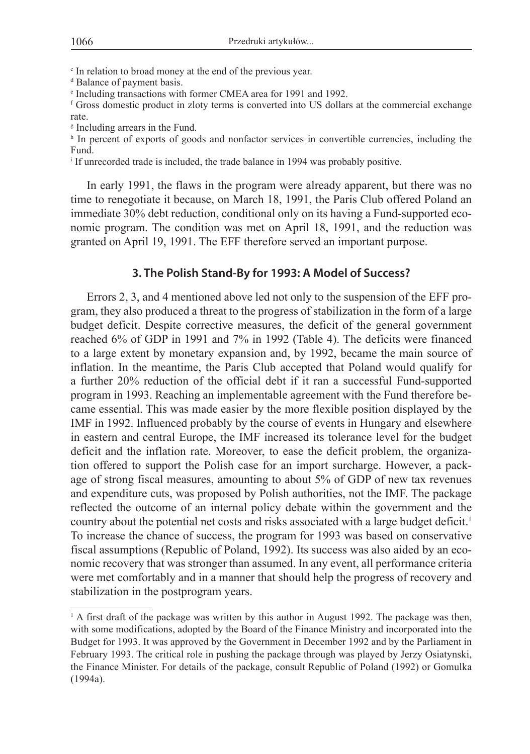c In relation to broad money at the end of the previous year.

d Balance of payment basis.

e Including transactions with former CMEA area for 1991 and 1992.

f Gross domestic product in zloty terms is converted into US dollars at the commercial exchange rate.

g Including arrears in the Fund.

h In percent of exports of goods and nonfactor services in convertible currencies, including the Fund.

i If unrecorded trade is included, the trade balance in 1994 was probably positive.

In early 1991, the flaws in the program were already apparent, but there was no time to renegotiate it because, on March 18, 1991, the Paris Club offered Poland an immediate 30% debt reduction, conditional only on its having a Fund-supported economic program. The condition was met on April 18, 1991, and the reduction was granted on April 19, 1991. The EFF therefore served an important purpose.

## **3. The Polish Stand-By for 1993: A Model of Success?**

Errors 2, 3, and 4 mentioned above led not only to the suspension of the EFF program, they also produced a threat to the progress of stabilization in the form of a large budget deficit. Despite corrective measures, the deficit of the general government reached 6% of GDP in 1991 and 7% in 1992 (Table 4). The deficits were financed to a large extent by monetary expansion and, by 1992, became the main source of inflation. In the meantime, the Paris Club accepted that Poland would qualify for a further 20% reduction of the official debt if it ran a successful Fund-supported program in 1993. Reaching an implementable agreement with the Fund therefore became essential. This was made easier by the more flexible position displayed by the IMF in 1992. Influenced probably by the course of events in Hungary and elsewhere in eastern and central Europe, the IMF increased its tolerance level for the budget deficit and the inflation rate. Moreover, to ease the deficit problem, the organization offered to support the Polish case for an import surcharge. However, a package of strong fiscal measures, amounting to about 5% of GDP of new tax revenues and expenditure cuts, was proposed by Polish authorities, not the IMF. The package reflected the outcome of an internal policy debate within the government and the country about the potential net costs and risks associated with a large budget deficit.<sup>1</sup> To increase the chance of success, the program for 1993 was based on conservative fiscal assumptions (Republic of Poland, 1992). Its success was also aided by an economic recovery that was stronger than assumed. In any event, all performance criteria were met comfortably and in a manner that should help the progress of recovery and stabilization in the postprogram years.

<sup>&</sup>lt;sup>1</sup> A first draft of the package was written by this author in August 1992. The package was then, with some modifications, adopted by the Board of the Finance Ministry and incorporated into the Budget for 1993. It was approved by the Government in December 1992 and by the Parliament in February 1993. The critical role in pushing the package through was played by Jerzy Osiatynski, the Finance Minister. For details of the package, consult Republic of Poland (1992) or Gomulka (1994a).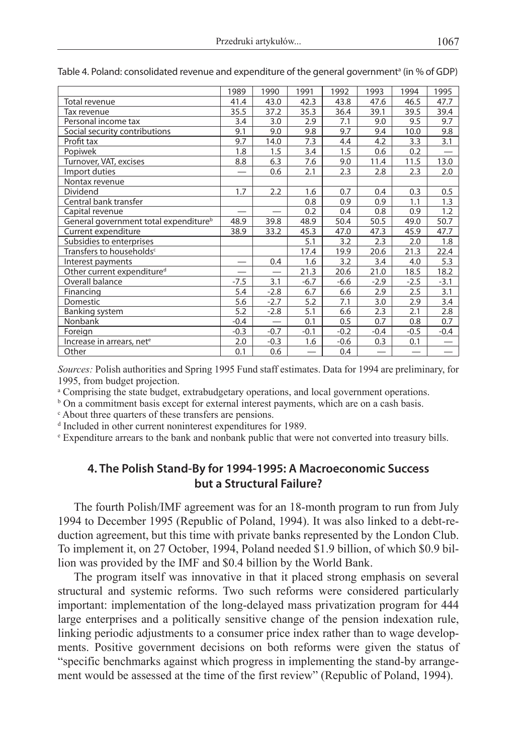|                                                   | 1989   | 1990   | 1991   | 1992   | 1993            | 1994                     | 1995              |
|---------------------------------------------------|--------|--------|--------|--------|-----------------|--------------------------|-------------------|
| Total revenue                                     | 41.4   | 43.0   | 42.3   | 43.8   | 47.6            | 46.5                     | 47.7              |
| Tax revenue                                       | 35.5   | 37.2   | 35.3   | 36.4   | 39.1            | 39.5                     | 39.4              |
| Personal income tax                               | 3.4    | 3.0    | 2.9    | 7.1    | 9.0             | 9.5                      | 9.7               |
| Social security contributions                     | 9.1    | 9.0    | 9.8    | 9.7    | 9.4             | 10.0                     | 9.8               |
| Profit tax                                        | 9.7    | 14.0   | 7.3    | 4.4    | 4.2             | 3.3                      | 3.1               |
| Popiwek                                           | 1.8    | 1.5    | 3.4    | 1.5    | 0.6             | 0.2                      |                   |
| Turnover, VAT, excises                            | 8.8    | 6.3    | 7.6    | 9.0    | 11.4            | 11.5                     | 13.0              |
| Import duties                                     |        | 0.6    | 2.1    | 2.3    | 2.8             | 2.3                      | 2.0               |
| Nontax revenue                                    |        |        |        |        |                 |                          |                   |
| Dividend                                          | 1.7    | 2.2    | 1.6    | 0.7    | 0.4             | 0.3                      | 0.5               |
| Central bank transfer                             |        |        | 0.8    | 0.9    | 0.9             | 1.1                      | 1.3               |
| Capital revenue                                   |        |        | 0.2    | 0.4    | 0.8             | 0.9                      | 1.2               |
| General government total expenditure <sup>b</sup> | 48.9   | 39.8   | 48.9   | 50.4   | 50.5            | 49.0                     | 50.7              |
| Current expenditure                               | 38.9   | 33.2   | 45.3   | 47.0   | 47.3            | 45.9                     | 47.7              |
| Subsidies to enterprises                          |        |        | 5.1    | 3.2    | 2.3             | 2.0                      | 1.8               |
| Transfers to households <sup>c</sup>              |        |        | 17.4   | 19.9   | 20.6            | 21.3                     | 22.4              |
| Interest payments                                 |        | 0.4    | 1.6    | 3.2    | 3.4             | 4.0                      | 5.3               |
| Other current expenditure <sup>d</sup>            |        |        | 21.3   | 20.6   | 21.0            | 18.5                     | 18.2              |
| Overall balance                                   | $-7.5$ | 3.1    | $-6.7$ | $-6.6$ | $-2.9$          | $-2.5$                   | $-3.1$            |
| Financing                                         | 5.4    | $-2.8$ | 6.7    | 6.6    | 2.9             | 2.5                      | 3.1               |
| Domestic                                          | 5.6    | $-2.7$ | 5.2    | 7.1    | 3.0             | 2.9                      | 3.4               |
| <b>Banking system</b>                             | 5.2    | $-2.8$ | 5.1    | 6.6    | 2.3             | 2.1                      | 2.8               |
| Nonbank                                           | $-0.4$ |        | 0.1    | 0.5    | 0.7             | 0.8                      | 0.7               |
| Foreign                                           | $-0.3$ | $-0.7$ | $-0.1$ | $-0.2$ | $-0.4$          | $-0.5$                   | $-0.4$            |
| Increase in arrears, net <sup>e</sup>             | 2.0    | $-0.3$ | 1.6    | $-0.6$ | 0.3             | 0.1                      |                   |
| Other                                             | 0.1    | 0.6    |        | 0.4    | $\qquad \qquad$ | $\overline{\phantom{0}}$ | $\qquad \qquad -$ |

Table 4. Poland: consolidated revenue and expenditure of the general governmentª (in % of GDP)

*Sources:* Polish authorities and Spring 1995 Fund staff estimates. Data for 1994 are preliminary, for 1995, from budget projection.

a Comprising the state budget, extrabudgetary operations, and local government operations.

<sup>b</sup> On a commitment basis except for external interest payments, which are on a cash basis.

c About three quarters of these transfers are pensions.

d Included in other current noninterest expenditures for 1989.

e Expenditure arrears to the bank and nonbank public that were not converted into treasury bills.

## **4. The Polish Stand-By for 1994-1995: A Macroeconomic Success but a Structural Failure?**

The fourth Polish/IMF agreement was for an 18-month program to run from July 1994 to December 1995 (Republic of Poland, 1994). It was also linked to a debt-reduction agreement, but this time with private banks represented by the London Club. To implement it, on 27 October, 1994, Poland needed \$1.9 billion, of which \$0.9 billion was provided by the IMF and \$0.4 billion by the World Bank.

The program itself was innovative in that it placed strong emphasis on several structural and systemic reforms. Two such reforms were considered particularly important: implementation of the long-delayed mass privatization program for 444 large enterprises and a politically sensitive change of the pension indexation rule, linking periodic adjustments to a consumer price index rather than to wage developments. Positive government decisions on both reforms were given the status of "specific benchmarks against which progress in implementing the stand-by arrangement would be assessed at the time of the first review" (Republic of Poland, 1994).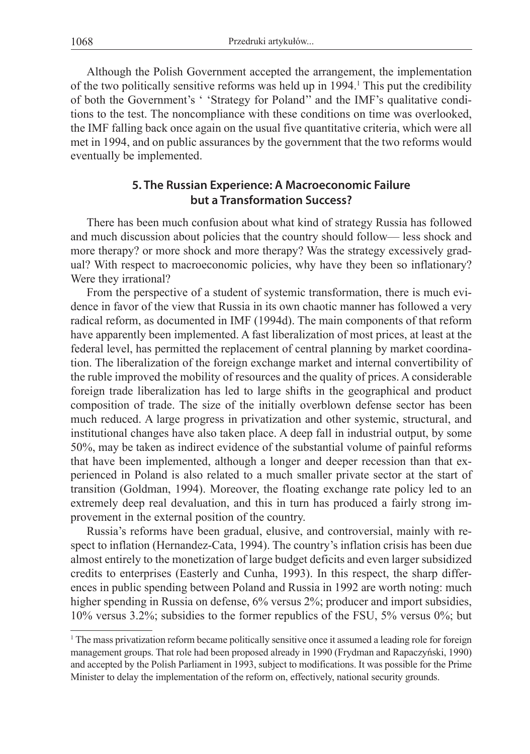Although the Polish Government accepted the arrangement, the implementation of the two politically sensitive reforms was held up in 1994. This put the credibility of both the Government's ' 'Strategy for Poland'' and the IMF's qualitative conditions to the test. The noncompliance with these conditions on time was overlooked, the IMF falling back once again on the usual five quantitative criteria, which were all met in 1994, and on public assurances by the government that the two reforms would eventually be implemented.

## **5. The Russian Experience: A Macroeconomic Failure but a Transformation Success?**

There has been much confusion about what kind of strategy Russia has followed and much discussion about policies that the country should follow— less shock and more therapy? or more shock and more therapy? Was the strategy excessively gradual? With respect to macroeconomic policies, why have they been so inflationary? Were they irrational?

From the perspective of a student of systemic transformation, there is much evidence in favor of the view that Russia in its own chaotic manner has followed a very radical reform, as documented in IMF (1994d). The main components of that reform have apparently been implemented. A fast liberalization of most prices, at least at the federal level, has permitted the replacement of central planning by market coordination. The liberalization of the foreign exchange market and internal convertibility of the ruble improved the mobility of resources and the quality of prices. A considerable foreign trade liberalization has led to large shifts in the geographical and product composition of trade. The size of the initially overblown defense sector has been much reduced. A large progress in privatization and other systemic, structural, and institutional changes have also taken place. A deep fall in industrial output, by some 50%, may be taken as indirect evidence of the substantial volume of painful reforms that have been implemented, although a longer and deeper recession than that experienced in Poland is also related to a much smaller private sector at the start of transition (Goldman, 1994). Moreover, the floating exchange rate policy led to an extremely deep real devaluation, and this in turn has produced a fairly strong improvement in the external position of the country.

Russia's reforms have been gradual, elusive, and controversial, mainly with respect to inflation (Hernandez-Cata, 1994). The country's inflation crisis has been due almost entirely to the monetization of large budget deficits and even larger subsidized credits to enterprises (Easterly and Cunha, 1993). In this respect, the sharp differences in public spending between Poland and Russia in 1992 are worth noting: much higher spending in Russia on defense, 6% versus 2%; producer and import subsidies, 10% versus 3.2%; subsidies to the former republics of the FSU, 5% versus 0%; but

<sup>1</sup> The mass privatization reform became politically sensitive once it assumed a leading role for foreign management groups. That role had been proposed already in 1990 (Frydman and Rapaczyński, 1990) and accepted by the Polish Parliament in 1993, subject to modifications. It was possible for the Prime Minister to delay the implementation of the reform on, effectively, national security grounds.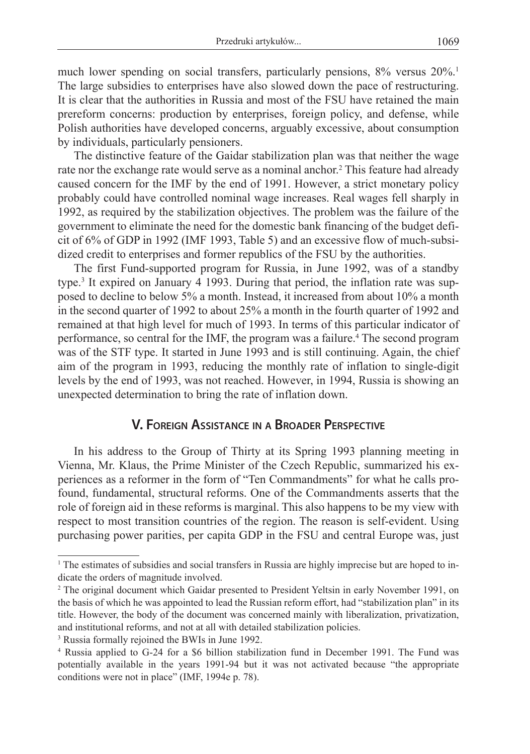much lower spending on social transfers, particularly pensions, 8% versus 20%.<sup>1</sup> The large subsidies to enterprises have also slowed down the pace of restructuring. It is clear that the authorities in Russia and most of the FSU have retained the main prereform concerns: production by enterprises, foreign policy, and defense, while Polish authorities have developed concerns, arguably excessive, about consumption by individuals, particularly pensioners.

The distinctive feature of the Gaidar stabilization plan was that neither the wage rate nor the exchange rate would serve as a nominal anchor.<sup>2</sup> This feature had already caused concern for the IMF by the end of 1991. However, a strict monetary policy probably could have controlled nominal wage increases. Real wages fell sharply in 1992, as required by the stabilization objectives. The problem was the failure of the government to eliminate the need for the domestic bank financing of the budget deficit of 6% of GDP in 1992 (IMF 1993, Table 5) and an excessive flow of much-subsidized credit to enterprises and former republics of the FSU by the authorities.

The first Fund-supported program for Russia, in June 1992, was of a standby type.<sup>3</sup> It expired on January 4 1993. During that period, the inflation rate was supposed to decline to below 5% a month. Instead, it increased from about 10% a month in the second quarter of 1992 to about 25% a month in the fourth quarter of 1992 and remained at that high level for much of 1993. In terms of this particular indicator of performance, so central for the IMF, the program was a failure.<sup>4</sup> The second program was of the STF type. It started in June 1993 and is still continuing. Again, the chief aim of the program in 1993, reducing the monthly rate of inflation to single-digit levels by the end of 1993, was not reached. However, in 1994, Russia is showing an unexpected determination to bring the rate of inflation down.

## **V. Foreign Assistance in a Broader Perspective**

In his address to the Group of Thirty at its Spring 1993 planning meeting in Vienna, Mr. Klaus, the Prime Minister of the Czech Republic, summarized his experiences as a reformer in the form of "Ten Commandments" for what he calls profound, fundamental, structural reforms. One of the Commandments asserts that the role of foreign aid in these reforms is marginal. This also happens to be my view with respect to most transition countries of the region. The reason is self-evident. Using purchasing power parities, per capita GDP in the FSU and central Europe was, just

<sup>1</sup> The estimates of subsidies and social transfers in Russia are highly imprecise but are hoped to indicate the orders of magnitude involved.

<sup>&</sup>lt;sup>2</sup> The original document which Gaidar presented to President Yeltsin in early November 1991, on the basis of which he was appointed to lead the Russian reform effort, had "stabilization plan" in its title. However, the body of the document was concerned mainly with liberalization, privatization, and institutional reforms, and not at all with detailed stabilization policies.

<sup>3</sup> Russia formally rejoined the BWIs in June 1992.

<sup>4</sup> Russia applied to G-24 for a \$6 billion stabilization fund in December 1991. The Fund was potentially available in the years 1991-94 but it was not activated because "the appropriate conditions were not in place" (IMF, 1994e p. 78).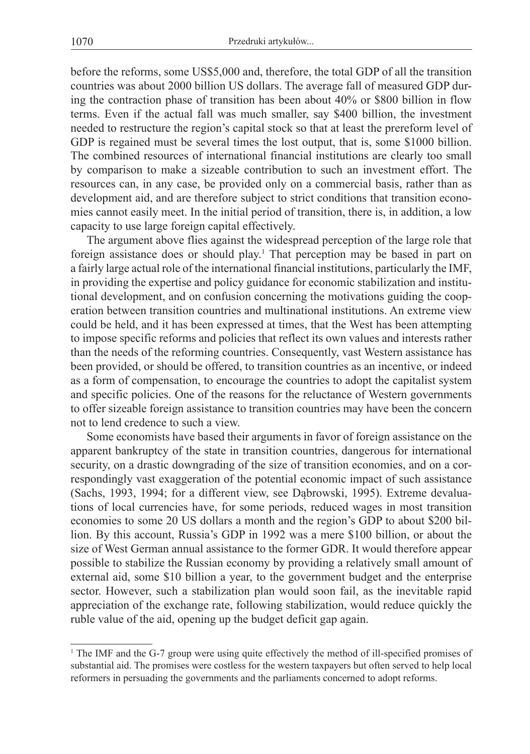before the reforms, some US\$5,000 and, therefore, the total GDP of all the transition countries was about 2000 billion US dollars. The average fall of measured GDP during the contraction phase of transition has been about 40% or \$800 billion in flow terms. Even if the actual fall was much smaller, say \$400 billion, the investment needed to restructure the region's capital stock so that at least the prereform level of GDP is regained must be several times the lost output, that is, some \$1000 billion. The combined resources of international financial institutions are clearly too small by comparison to make a sizeable contribution to such an investment effort. The resources can, in any case, be provided only on a commercial basis, rather than as development aid, and are therefore subject to strict conditions that transition economies cannot easily meet. In the initial period of transition, there is, in addition, a low capacity to use large foreign capital effectively.

The argument above flies against the widespread perception of the large role that foreign assistance does or should play.<sup>1</sup> That perception may be based in part on a fairly large actual role of the international financial institutions, particularly the IMF, in providing the expertise and policy guidance for economic stabilization and institutional development, and on confusion concerning the motivations guiding the cooperation between transition countries and multinational institutions. An extreme view could be held, and it has been expressed at times, that the West has been attempting to impose specific reforms and policies that reflect its own values and interests rather than the needs of the reforming countries. Consequently, vast Western assistance has been provided, or should be offered, to transition countries as an incentive, or indeed as a form of compensation, to encourage the countries to adopt the capitalist system and specific policies. One of the reasons for the reluctance of Western governments to offer sizeable foreign assistance to transition countries may have been the concern not to lend credence to such a view.

Some economists have based their arguments in favor of foreign assistance on the apparent bankruptcy of the state in transition countries, dangerous for international security, on a drastic downgrading of the size of transition economies, and on a correspondingly vast exaggeration of the potential economic impact of such assistance (Sachs, 1993, 1994; for a different view, see Dąbrowski, 1995). Extreme devaluations of local currencies have, for some periods, reduced wages in most transition economies to some 20 US dollars a month and the region's GDP to about \$200 billion. By this account, Russia's GDP in 1992 was a mere \$100 billion, or about the size of West German annual assistance to the former GDR. It would therefore appear possible to stabilize the Russian economy by providing a relatively small amount of external aid, some \$10 billion a year, to the government budget and the enterprise sector. However, such a stabilization plan would soon fail, as the inevitable rapid appreciation of the exchange rate, following stabilization, would reduce quickly the ruble value of the aid, opening up the budget deficit gap again.

<sup>1</sup> The IMF and the G-7 group were using quite effectively the method of ill-specified promises of substantial aid. The promises were costless for the western taxpayers but often served to help local reformers in persuading the governments and the parliaments concerned to adopt reforms.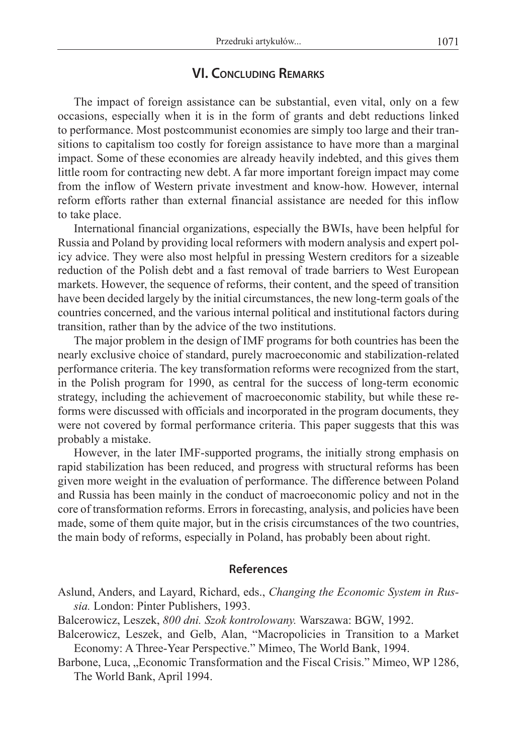## **VI. Concluding Remarks**

The impact of foreign assistance can be substantial, even vital, only on a few occasions, especially when it is in the form of grants and debt reductions linked to performance. Most postcommunist economies are simply too large and their transitions to capitalism too costly for foreign assistance to have more than a marginal impact. Some of these economies are already heavily indebted, and this gives them little room for contracting new debt. A far more important foreign impact may come from the inflow of Western private investment and know-how. However, internal reform efforts rather than external financial assistance are needed for this inflow to take place.

International financial organizations, especially the BWIs, have been helpful for Russia and Poland by providing local reformers with modern analysis and expert policy advice. They were also most helpful in pressing Western creditors for a sizeable reduction of the Polish debt and a fast removal of trade barriers to West European markets. However, the sequence of reforms, their content, and the speed of transition have been decided largely by the initial circumstances, the new long-term goals of the countries concerned, and the various internal political and institutional factors during transition, rather than by the advice of the two institutions.

The major problem in the design of IMF programs for both countries has been the nearly exclusive choice of standard, purely macroeconomic and stabilization-related performance criteria. The key transformation reforms were recognized from the start, in the Polish program for 1990, as central for the success of long-term economic strategy, including the achievement of macroeconomic stability, but while these reforms were discussed with officials and incorporated in the program documents, they were not covered by formal performance criteria. This paper suggests that this was probably a mistake.

However, in the later IMF-supported programs, the initially strong emphasis on rapid stabilization has been reduced, and progress with structural reforms has been given more weight in the evaluation of performance. The difference between Poland and Russia has been mainly in the conduct of macroeconomic policy and not in the core of transformation reforms. Errors in forecasting, analysis, and policies have been made, some of them quite major, but in the crisis circumstances of the two countries, the main body of reforms, especially in Poland, has probably been about right.

#### **References**

- Aslund, Anders, and Layard, Richard, eds., *Changing the Economic System in Russia.* London: Pinter Publishers, 1993.
- Balcerowicz, Leszek, *800 dni. Szok kontrolowany.* Warszawa: BGW, 1992.
- Balcerowicz, Leszek, and Gelb, Alan, "Macropolicies in Transition to a Market Economy: A Three-Year Perspective." Mimeo, The World Bank, 1994.
- Barbone, Luca, "Economic Transformation and the Fiscal Crisis." Mimeo, WP 1286, The World Bank, April 1994.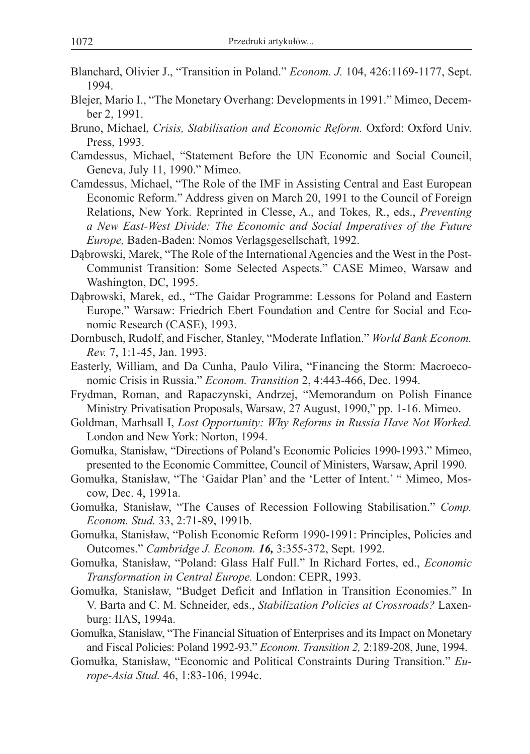- Blanchard, Olivier J., "Transition in Poland." *Econom. J.* 104, 426:1169-1177, Sept. 1994.
- Blejer, Mario I., "The Monetary Overhang: Developments in 1991." Mimeo, December 2, 1991.
- Bruno, Michael, *Crisis, Stabilisation and Economic Reform.* Oxford: Oxford Univ. Press, 1993.
- Camdessus, Michael, "Statement Before the UN Economic and Social Council, Geneva, July 11, 1990." Mimeo.
- Camdessus, Michael, "The Role of the IMF in Assisting Central and East European Economic Reform." Address given on March 20, 1991 to the Council of Foreign Relations, New York. Reprinted in Clesse, A., and Tokes, R., eds., *Preventing a New East-West Divide: The Economic and Social Imperatives of the Future Europe,* Baden-Baden: Nomos Verlagsgesellschaft, 1992.
- Dąbrowski, Marek, "The Role of the International Agencies and the West in the Post-Communist Transition: Some Selected Aspects." CASE Mimeo, Warsaw and Washington, DC, 1995.
- Dąbrowski, Marek, ed., "The Gaidar Programme: Lessons for Poland and Eastern Europe." Warsaw: Friedrich Ebert Foundation and Centre for Social and Economic Research (CASE), 1993.
- Dornbusch, Rudolf, and Fischer, Stanley, "Moderate Inflation." *World Bank Econom. Rev.* 7, 1:1-45, Jan. 1993.
- Easterly, William, and Da Cunha, Paulo Vilira, "Financing the Storm: Macroeconomic Crisis in Russia." *Econom. Transition* 2, 4:443-466, Dec. 1994.
- Frydman, Roman, and Rapaczynski, Andrzej, "Memorandum on Polish Finance Ministry Privatisation Proposals, Warsaw, 27 August, 1990," pp. 1-16. Mimeo.
- Goldman, Marhsall I, *Lost Opportunity: Why Reforms in Russia Have Not Worked.*  London and New York: Norton, 1994.
- Gomułka, Stanisław, "Directions of Poland's Economic Policies 1990-1993." Mimeo, presented to the Economic Committee, Council of Ministers, Warsaw, April 1990.
- Gomułka, Stanisław, "The 'Gaidar Plan' and the 'Letter of Intent.' " Mimeo, Moscow, Dec. 4, 1991a.
- Gomułka, Stanisław, "The Causes of Recession Following Stabilisation." *Comp. Econom. Stud.* 33, 2:71-89, 1991b.
- Gomułka, Stanisław, "Polish Economic Reform 1990-1991: Principles, Policies and Outcomes." *Cambridge J. Econom. 16,* 3:355-372, Sept. 1992.
- Gomułka, Stanisław, "Poland: Glass Half Full." In Richard Fortes, ed., *Economic Transformation in Central Europe.* London: CEPR, 1993.
- Gomułka, Stanisław, "Budget Deficit and Inflation in Transition Economies." In V. Barta and C. M. Schneider, eds., *Stabilization Policies at Crossroads?* Laxenburg: IIAS, 1994a.
- Gomułka, Stanisław, "The Financial Situation of Enterprises and its Impact on Monetary and Fiscal Policies: Poland 1992-93." *Econom. Transition 2,* 2:189-208, June, 1994.
- Gomułka, Stanisław, "Economic and Political Constraints During Transition." *Europe-Asia Stud.* 46, 1:83-106, 1994c.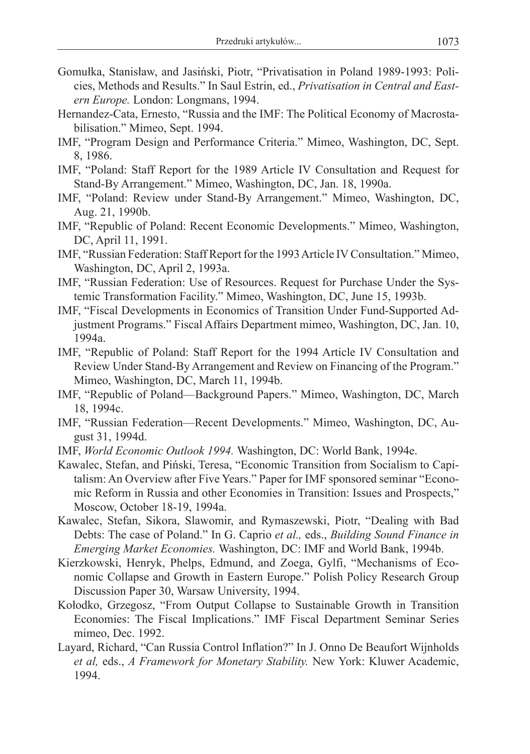- Gomułka, Stanisław, and Jasiński, Piotr, "Privatisation in Poland 1989-1993: Policies, Methods and Results." In Saul Estrin, ed., *Privatisation in Central and Eastern Europe.* London: Longmans, 1994.
- Hernandez-Cata, Ernesto, "Russia and the IMF: The Political Economy of Macrostabilisation." Mimeo, Sept. 1994.
- IMF, "Program Design and Performance Criteria." Mimeo, Washington, DC, Sept. 8, 1986.
- IMF, "Poland: Staff Report for the 1989 Article IV Consultation and Request for Stand-By Arrangement." Mimeo, Washington, DC, Jan. 18, 1990a.
- IMF, "Poland: Review under Stand-By Arrangement." Mimeo, Washington, DC, Aug. 21, 1990b.
- IMF, "Republic of Poland: Recent Economic Developments." Mimeo, Washington, DC, April 11, 1991.
- IMF, "Russian Federation: Staff Report for the 1993 Article IV Consultation." Mimeo, Washington, DC, April 2, 1993a.
- IMF, "Russian Federation: Use of Resources. Request for Purchase Under the Systemic Transformation Facility." Mimeo, Washington, DC, June 15, 1993b.
- IMF, "Fiscal Developments in Economics of Transition Under Fund-Supported Adjustment Programs." Fiscal Affairs Department mimeo, Washington, DC, Jan. 10, 1994a.
- IMF, "Republic of Poland: Staff Report for the 1994 Article IV Consultation and Review Under Stand-By Arrangement and Review on Financing of the Program." Mimeo, Washington, DC, March 11, 1994b.
- IMF, "Republic of Poland—Background Papers." Mimeo, Washington, DC, March 18, 1994c.
- IMF, "Russian Federation—Recent Developments." Mimeo, Washington, DC, August 31, 1994d.
- IMF, *World Economic Outlook 1994.* Washington, DC: World Bank, 1994e.
- Kawalec, Stefan, and Piński, Teresa, "Economic Transition from Socialism to Capitalism: An Overview after Five Years." Paper for IMF sponsored seminar "Economic Reform in Russia and other Economies in Transition: Issues and Prospects," Moscow, October 18-19, 1994a.
- Kawalec, Stefan, Sikora, Slawomir, and Rymaszewski, Piotr, "Dealing with Bad Debts: The case of Poland." In G. Caprio *et al.,* eds., *Building Sound Finance in Emerging Market Economies.* Washington, DC: IMF and World Bank, 1994b.
- Kierzkowski, Henryk, Phelps, Edmund, and Zoega, Gylfi, "Mechanisms of Economic Collapse and Growth in Eastern Europe." Polish Policy Research Group Discussion Paper 30, Warsaw University, 1994.
- Kołodko, Grzegosz, "From Output Collapse to Sustainable Growth in Transition Economies: The Fiscal Implications." IMF Fiscal Department Seminar Series mimeo, Dec. 1992.
- Layard, Richard, "Can Russia Control Inflation?" In J. Onno De Beaufort Wijnholds *et al,* eds., *A Framework for Monetary Stability.* New York: Kluwer Academic, 1994.